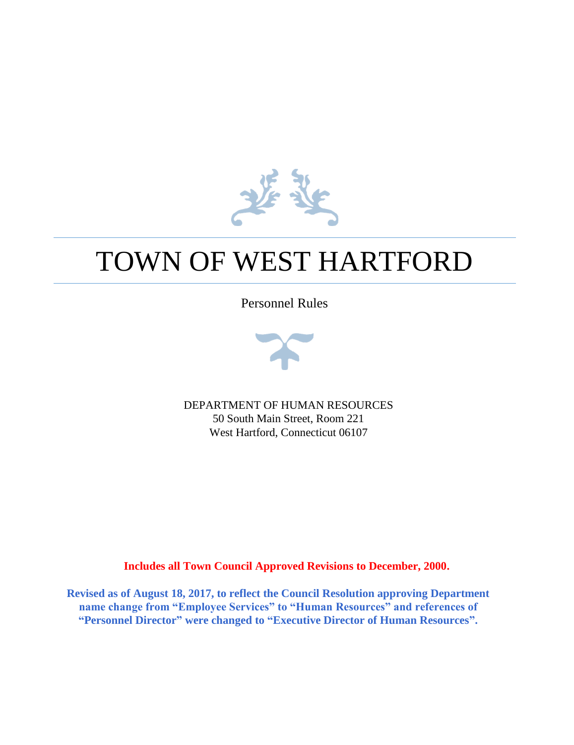

# TOWN OF WEST HARTFORD

Personnel Rules



DEPARTMENT OF HUMAN RESOURCES 50 South Main Street, Room 221 West Hartford, Connecticut 06107

**Includes all Town Council Approved Revisions to December, 2000.**

**Revised as of August 18, 2017, to reflect the Council Resolution approving Department name change from "Employee Services" to "Human Resources" and references of "Personnel Director" were changed to "Executive Director of Human Resources".**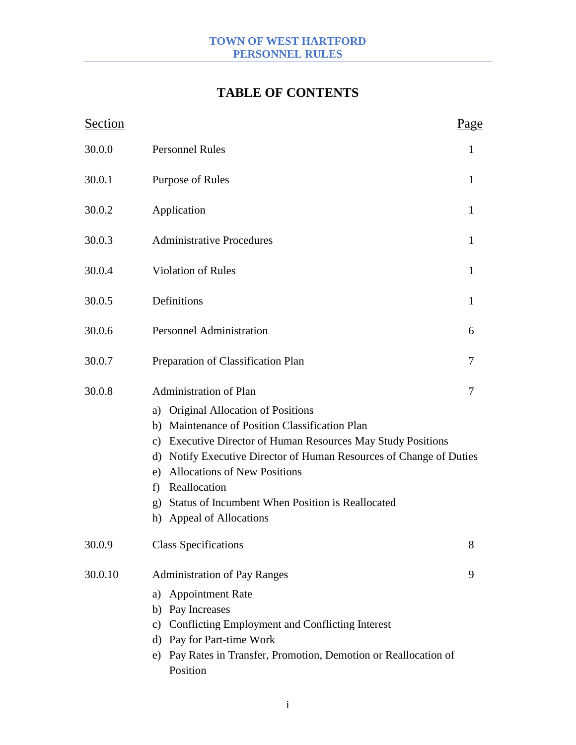# **TABLE OF CONTENTS**

| <b>Section</b> |                                                                                                                                                                                                                                                                                                                                                                                                           | Page |
|----------------|-----------------------------------------------------------------------------------------------------------------------------------------------------------------------------------------------------------------------------------------------------------------------------------------------------------------------------------------------------------------------------------------------------------|------|
| 30.0.0         | <b>Personnel Rules</b>                                                                                                                                                                                                                                                                                                                                                                                    | 1    |
| 30.0.1         | <b>Purpose of Rules</b>                                                                                                                                                                                                                                                                                                                                                                                   | 1    |
| 30.0.2         | Application                                                                                                                                                                                                                                                                                                                                                                                               | 1    |
| 30.0.3         | <b>Administrative Procedures</b>                                                                                                                                                                                                                                                                                                                                                                          | 1    |
| 30.0.4         | <b>Violation of Rules</b>                                                                                                                                                                                                                                                                                                                                                                                 | 1    |
| 30.0.5         | Definitions                                                                                                                                                                                                                                                                                                                                                                                               | 1    |
| 30.0.6         | <b>Personnel Administration</b>                                                                                                                                                                                                                                                                                                                                                                           | 6    |
| 30.0.7         | Preparation of Classification Plan                                                                                                                                                                                                                                                                                                                                                                        | 7    |
| 30.0.8         | <b>Administration of Plan</b><br>a) Original Allocation of Positions<br>b) Maintenance of Position Classification Plan<br>c) Executive Director of Human Resources May Study Positions<br>d) Notify Executive Director of Human Resources of Change of Duties<br>e) Allocations of New Positions<br>Reallocation<br>f)<br>g) Status of Incumbent When Position is Reallocated<br>h) Appeal of Allocations | 7    |
| 30.0.9         | <b>Class Specifications</b>                                                                                                                                                                                                                                                                                                                                                                               | 8    |
| 30.0.10        | <b>Administration of Pay Ranges</b><br><b>Appointment Rate</b><br>a)<br>b) Pay Increases<br>c) Conflicting Employment and Conflicting Interest<br>d) Pay for Part-time Work<br>e) Pay Rates in Transfer, Promotion, Demotion or Reallocation of<br>Position                                                                                                                                               | 9    |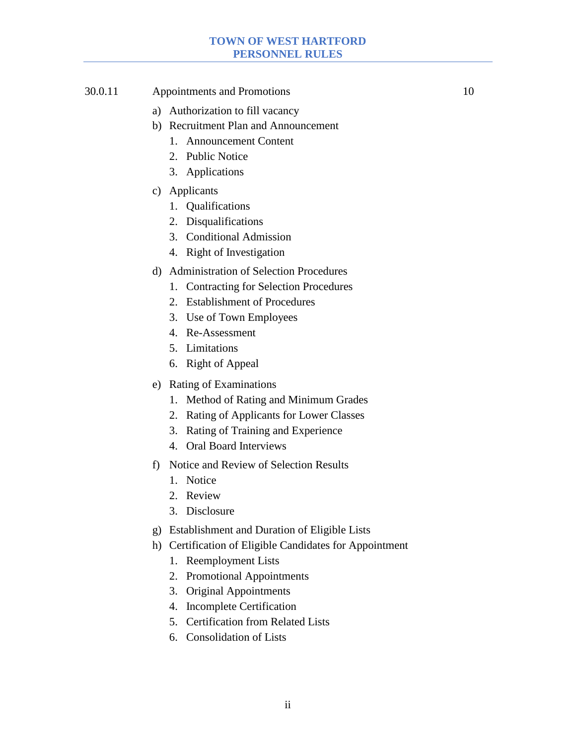- 30.0.11 Appointments and Promotions 10
	- a) Authorization to fill vacancy
	- b) Recruitment Plan and Announcement
		- 1. Announcement Content
		- 2. Public Notice
		- 3. Applications
	- c) Applicants
		- 1. Qualifications
		- 2. Disqualifications
		- 3. Conditional Admission
		- 4. Right of Investigation
	- d) Administration of Selection Procedures
		- 1. Contracting for Selection Procedures
		- 2. Establishment of Procedures
		- 3. Use of Town Employees
		- 4. Re-Assessment
		- 5. Limitations
		- 6. Right of Appeal
	- e) Rating of Examinations
		- 1. Method of Rating and Minimum Grades
		- 2. Rating of Applicants for Lower Classes
		- 3. Rating of Training and Experience
		- 4. Oral Board Interviews
	- f) Notice and Review of Selection Results
		- 1. Notice
		- 2. Review
		- 3. Disclosure
	- g) Establishment and Duration of Eligible Lists
	- h) Certification of Eligible Candidates for Appointment
		- 1. Reemployment Lists
		- 2. Promotional Appointments
		- 3. Original Appointments
		- 4. Incomplete Certification
		- 5. Certification from Related Lists
		- 6. Consolidation of Lists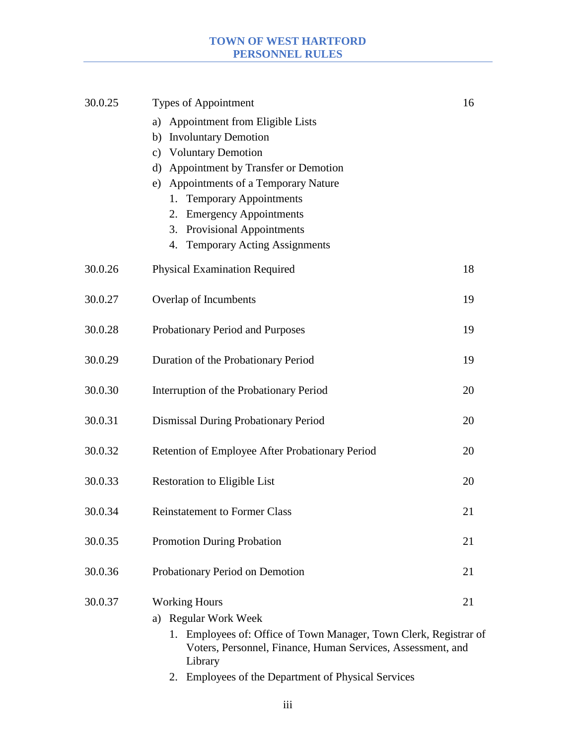# **TOWN OF WEST HARTFORD PERSONNEL RULES**

| 30.0.25 | Types of Appointment                                                                                                                        | 16 |
|---------|---------------------------------------------------------------------------------------------------------------------------------------------|----|
|         | Appointment from Eligible Lists<br>a)                                                                                                       |    |
|         | <b>Involuntary Demotion</b><br>b)                                                                                                           |    |
|         | c) Voluntary Demotion                                                                                                                       |    |
|         | d) Appointment by Transfer or Demotion                                                                                                      |    |
|         | e) Appointments of a Temporary Nature                                                                                                       |    |
|         | 1. Temporary Appointments                                                                                                                   |    |
|         | 2. Emergency Appointments                                                                                                                   |    |
|         | 3. Provisional Appointments<br><b>Temporary Acting Assignments</b><br>4.                                                                    |    |
|         |                                                                                                                                             |    |
| 30.0.26 | <b>Physical Examination Required</b>                                                                                                        | 18 |
| 30.0.27 | Overlap of Incumbents                                                                                                                       | 19 |
| 30.0.28 | Probationary Period and Purposes                                                                                                            | 19 |
| 30.0.29 | Duration of the Probationary Period                                                                                                         | 19 |
| 30.0.30 | Interruption of the Probationary Period                                                                                                     | 20 |
| 30.0.31 | Dismissal During Probationary Period                                                                                                        | 20 |
| 30.0.32 | Retention of Employee After Probationary Period                                                                                             | 20 |
| 30.0.33 | <b>Restoration to Eligible List</b>                                                                                                         | 20 |
| 30.0.34 | <b>Reinstatement to Former Class</b>                                                                                                        | 21 |
| 30.0.35 | <b>Promotion During Probation</b>                                                                                                           | 21 |
| 30.0.36 | Probationary Period on Demotion                                                                                                             | 21 |
| 30.0.37 | <b>Working Hours</b>                                                                                                                        | 21 |
|         | a) Regular Work Week                                                                                                                        |    |
|         | 1. Employees of: Office of Town Manager, Town Clerk, Registrar of<br>Voters, Personnel, Finance, Human Services, Assessment, and<br>Library |    |
|         | Employees of the Department of Physical Services<br>2.                                                                                      |    |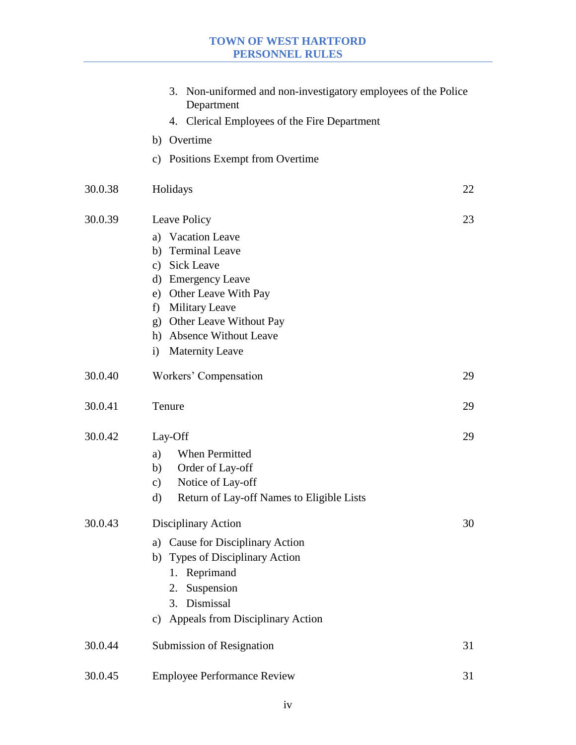# **TOWN OF WEST HARTFORD PERSONNEL RULES**

|         | 3. Non-uniformed and non-investigatory employees of the Police<br>Department                                                                                                                                                                       |    |
|---------|----------------------------------------------------------------------------------------------------------------------------------------------------------------------------------------------------------------------------------------------------|----|
|         | 4. Clerical Employees of the Fire Department                                                                                                                                                                                                       |    |
|         | b) Overtime                                                                                                                                                                                                                                        |    |
|         | c) Positions Exempt from Overtime                                                                                                                                                                                                                  |    |
| 30.0.38 | Holidays                                                                                                                                                                                                                                           | 22 |
| 30.0.39 | Leave Policy                                                                                                                                                                                                                                       | 23 |
|         | a) Vacation Leave<br>b) Terminal Leave<br><b>Sick Leave</b><br>$\mathbf{c})$<br>d) Emergency Leave<br>Other Leave With Pay<br>e)<br>Military Leave<br>f)<br>g) Other Leave Without Pay<br>h) Absence Without Leave<br><b>Maternity Leave</b><br>i) |    |
| 30.0.40 | Workers' Compensation                                                                                                                                                                                                                              | 29 |
| 30.0.41 | Tenure                                                                                                                                                                                                                                             | 29 |
| 30.0.42 | Lay-Off<br>When Permitted<br>a)<br>Order of Lay-off<br>b)<br>Notice of Lay-off<br>$\mathbf{c})$<br>Return of Lay-off Names to Eligible Lists<br>d)                                                                                                 | 29 |
| 30.0.43 | Disciplinary Action<br>a) Cause for Disciplinary Action<br>b) Types of Disciplinary Action<br>1. Reprimand<br>2. Suspension<br>3. Dismissal<br>c) Appeals from Disciplinary Action                                                                 | 30 |
| 30.0.44 | <b>Submission of Resignation</b>                                                                                                                                                                                                                   | 31 |
| 30.0.45 | <b>Employee Performance Review</b>                                                                                                                                                                                                                 | 31 |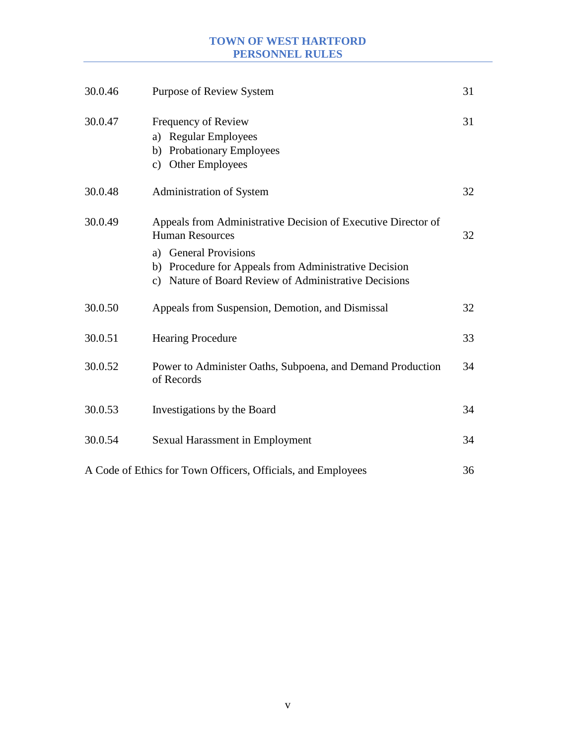# **TOWN OF WEST HARTFORD PERSONNEL RULES**

| 30.0.46 | Purpose of Review System                                                                                                                                                                                                              | 31 |
|---------|---------------------------------------------------------------------------------------------------------------------------------------------------------------------------------------------------------------------------------------|----|
| 30.0.47 | Frequency of Review<br>a) Regular Employees<br><b>Probationary Employees</b><br>b)<br>c) Other Employees                                                                                                                              | 31 |
| 30.0.48 | Administration of System                                                                                                                                                                                                              | 32 |
| 30.0.49 | Appeals from Administrative Decision of Executive Director of<br><b>Human Resources</b><br>a) General Provisions<br>Procedure for Appeals from Administrative Decision<br>b)<br>c) Nature of Board Review of Administrative Decisions | 32 |
| 30.0.50 | Appeals from Suspension, Demotion, and Dismissal                                                                                                                                                                                      | 32 |
| 30.0.51 | <b>Hearing Procedure</b>                                                                                                                                                                                                              | 33 |
| 30.0.52 | Power to Administer Oaths, Subpoena, and Demand Production<br>of Records                                                                                                                                                              | 34 |
| 30.0.53 | Investigations by the Board                                                                                                                                                                                                           | 34 |
| 30.0.54 | <b>Sexual Harassment in Employment</b>                                                                                                                                                                                                | 34 |
|         | A Code of Ethics for Town Officers, Officials, and Employees                                                                                                                                                                          | 36 |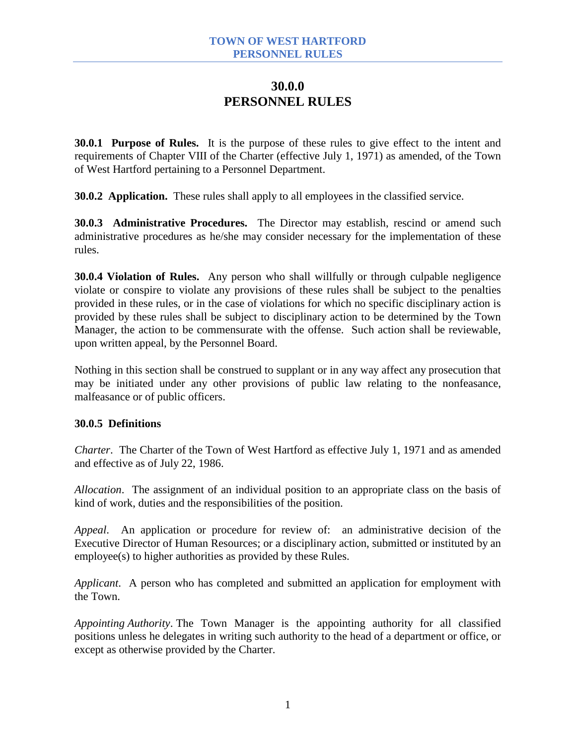# **30.0.0 PERSONNEL RULES**

**30.0.1 Purpose of Rules.** It is the purpose of these rules to give effect to the intent and requirements of Chapter VIII of the Charter (effective July 1, 1971) as amended, of the Town of West Hartford pertaining to a Personnel Department.

**30.0.2 Application.** These rules shall apply to all employees in the classified service.

**30.0.3 Administrative Procedures.** The Director may establish, rescind or amend such administrative procedures as he/she may consider necessary for the implementation of these rules.

**30.0.4 Violation of Rules.** Any person who shall willfully or through culpable negligence violate or conspire to violate any provisions of these rules shall be subject to the penalties provided in these rules, or in the case of violations for which no specific disciplinary action is provided by these rules shall be subject to disciplinary action to be determined by the Town Manager, the action to be commensurate with the offense. Such action shall be reviewable, upon written appeal, by the Personnel Board.

Nothing in this section shall be construed to supplant or in any way affect any prosecution that may be initiated under any other provisions of public law relating to the nonfeasance, malfeasance or of public officers.

#### **30.0.5 Definitions**

*Charter*. The Charter of the Town of West Hartford as effective July 1, 1971 and as amended and effective as of July 22, 1986.

*Allocation*. The assignment of an individual position to an appropriate class on the basis of kind of work, duties and the responsibilities of the position.

*Appeal*. An application or procedure for review of: an administrative decision of the Executive Director of Human Resources; or a disciplinary action, submitted or instituted by an employee(s) to higher authorities as provided by these Rules.

*Applicant*. A person who has completed and submitted an application for employment with the Town.

*Appointing Authority*. The Town Manager is the appointing authority for all classified positions unless he delegates in writing such authority to the head of a department or office, or except as otherwise provided by the Charter.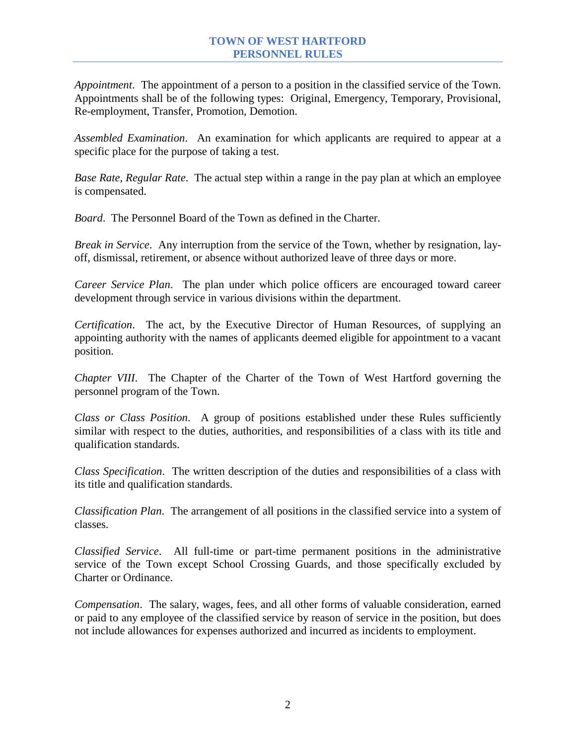*Appointment*. The appointment of a person to a position in the classified service of the Town. Appointments shall be of the following types: Original, Emergency, Temporary, Provisional, Re-employment, Transfer, Promotion, Demotion.

*Assembled Examination*. An examination for which applicants are required to appear at a specific place for the purpose of taking a test.

*Base Rate, Regular Rate*. The actual step within a range in the pay plan at which an employee is compensated.

*Board*. The Personnel Board of the Town as defined in the Charter.

*Break in Service*. Any interruption from the service of the Town, whether by resignation, layoff, dismissal, retirement, or absence without authorized leave of three days or more.

*Career Service Plan*. The plan under which police officers are encouraged toward career development through service in various divisions within the department.

*Certification*. The act, by the Executive Director of Human Resources, of supplying an appointing authority with the names of applicants deemed eligible for appointment to a vacant position.

*Chapter VIII*. The Chapter of the Charter of the Town of West Hartford governing the personnel program of the Town.

*Class or Class Position*. A group of positions established under these Rules sufficiently similar with respect to the duties, authorities, and responsibilities of a class with its title and qualification standards.

*Class Specification*. The written description of the duties and responsibilities of a class with its title and qualification standards.

*Classification Plan*. The arrangement of all positions in the classified service into a system of classes.

*Classified Service*. All full-time or part-time permanent positions in the administrative service of the Town except School Crossing Guards, and those specifically excluded by Charter or Ordinance.

*Compensation*. The salary, wages, fees, and all other forms of valuable consideration, earned or paid to any employee of the classified service by reason of service in the position, but does not include allowances for expenses authorized and incurred as incidents to employment.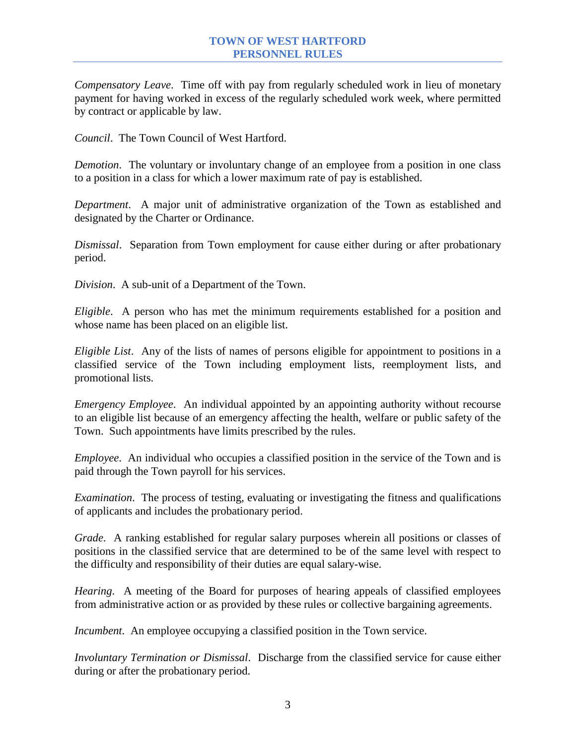*Compensatory Leave*. Time off with pay from regularly scheduled work in lieu of monetary payment for having worked in excess of the regularly scheduled work week, where permitted by contract or applicable by law.

*Council*. The Town Council of West Hartford.

*Demotion*. The voluntary or involuntary change of an employee from a position in one class to a position in a class for which a lower maximum rate of pay is established.

*Department*. A major unit of administrative organization of the Town as established and designated by the Charter or Ordinance.

*Dismissal*. Separation from Town employment for cause either during or after probationary period.

*Division*. A sub-unit of a Department of the Town.

*Eligible*. A person who has met the minimum requirements established for a position and whose name has been placed on an eligible list.

*Eligible List*. Any of the lists of names of persons eligible for appointment to positions in a classified service of the Town including employment lists, reemployment lists, and promotional lists.

*Emergency Employee*. An individual appointed by an appointing authority without recourse to an eligible list because of an emergency affecting the health, welfare or public safety of the Town. Such appointments have limits prescribed by the rules.

*Employee*. An individual who occupies a classified position in the service of the Town and is paid through the Town payroll for his services.

*Examination*. The process of testing, evaluating or investigating the fitness and qualifications of applicants and includes the probationary period.

*Grade*. A ranking established for regular salary purposes wherein all positions or classes of positions in the classified service that are determined to be of the same level with respect to the difficulty and responsibility of their duties are equal salary-wise.

*Hearing*. A meeting of the Board for purposes of hearing appeals of classified employees from administrative action or as provided by these rules or collective bargaining agreements.

*Incumbent*. An employee occupying a classified position in the Town service.

*Involuntary Termination or Dismissal*. Discharge from the classified service for cause either during or after the probationary period.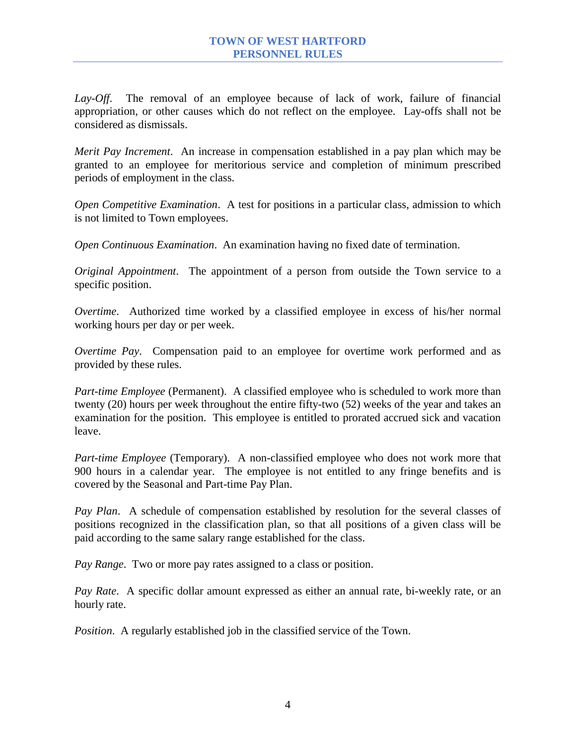Lay-Off. The removal of an employee because of lack of work, failure of financial appropriation, or other causes which do not reflect on the employee. Lay-offs shall not be considered as dismissals.

*Merit Pay Increment*. An increase in compensation established in a pay plan which may be granted to an employee for meritorious service and completion of minimum prescribed periods of employment in the class.

*Open Competitive Examination*. A test for positions in a particular class, admission to which is not limited to Town employees.

*Open Continuous Examination*. An examination having no fixed date of termination.

*Original Appointment*. The appointment of a person from outside the Town service to a specific position.

*Overtime*. Authorized time worked by a classified employee in excess of his/her normal working hours per day or per week.

*Overtime Pay*. Compensation paid to an employee for overtime work performed and as provided by these rules.

*Part-time Employee* (Permanent). A classified employee who is scheduled to work more than twenty (20) hours per week throughout the entire fifty-two (52) weeks of the year and takes an examination for the position. This employee is entitled to prorated accrued sick and vacation leave.

*Part-time Employee* (Temporary). A non-classified employee who does not work more that 900 hours in a calendar year. The employee is not entitled to any fringe benefits and is covered by the Seasonal and Part-time Pay Plan.

*Pay Plan*. A schedule of compensation established by resolution for the several classes of positions recognized in the classification plan, so that all positions of a given class will be paid according to the same salary range established for the class.

*Pay Range*. Two or more pay rates assigned to a class or position.

*Pay Rate*. A specific dollar amount expressed as either an annual rate, bi-weekly rate, or an hourly rate.

*Position*. A regularly established job in the classified service of the Town.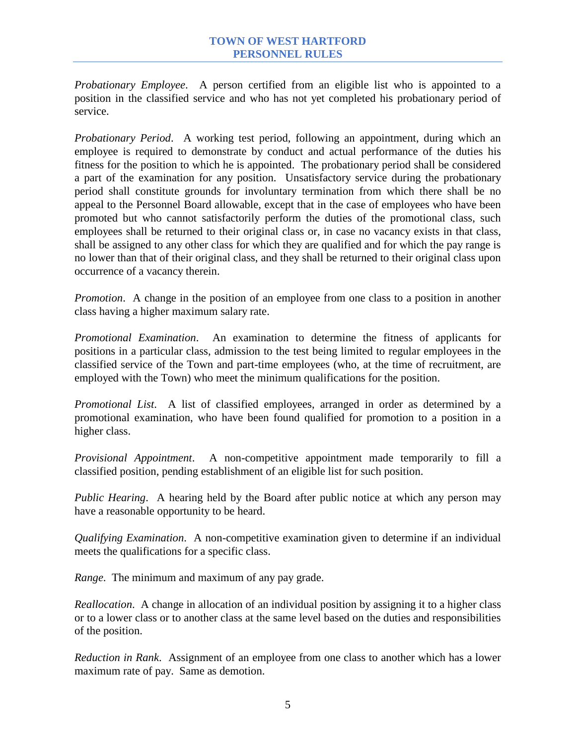*Probationary Employee*. A person certified from an eligible list who is appointed to a position in the classified service and who has not yet completed his probationary period of service.

*Probationary Period*. A working test period, following an appointment, during which an employee is required to demonstrate by conduct and actual performance of the duties his fitness for the position to which he is appointed. The probationary period shall be considered a part of the examination for any position. Unsatisfactory service during the probationary period shall constitute grounds for involuntary termination from which there shall be no appeal to the Personnel Board allowable, except that in the case of employees who have been promoted but who cannot satisfactorily perform the duties of the promotional class, such employees shall be returned to their original class or, in case no vacancy exists in that class, shall be assigned to any other class for which they are qualified and for which the pay range is no lower than that of their original class, and they shall be returned to their original class upon occurrence of a vacancy therein.

*Promotion*. A change in the position of an employee from one class to a position in another class having a higher maximum salary rate.

*Promotional Examination*. An examination to determine the fitness of applicants for positions in a particular class, admission to the test being limited to regular employees in the classified service of the Town and part-time employees (who, at the time of recruitment, are employed with the Town) who meet the minimum qualifications for the position.

*Promotional List*. A list of classified employees, arranged in order as determined by a promotional examination, who have been found qualified for promotion to a position in a higher class.

*Provisional Appointment*. A non-competitive appointment made temporarily to fill a classified position, pending establishment of an eligible list for such position.

*Public Hearing*. A hearing held by the Board after public notice at which any person may have a reasonable opportunity to be heard.

*Qualifying Examination*. A non-competitive examination given to determine if an individual meets the qualifications for a specific class.

*Range*. The minimum and maximum of any pay grade.

*Reallocation*. A change in allocation of an individual position by assigning it to a higher class or to a lower class or to another class at the same level based on the duties and responsibilities of the position.

*Reduction in Rank*. Assignment of an employee from one class to another which has a lower maximum rate of pay. Same as demotion.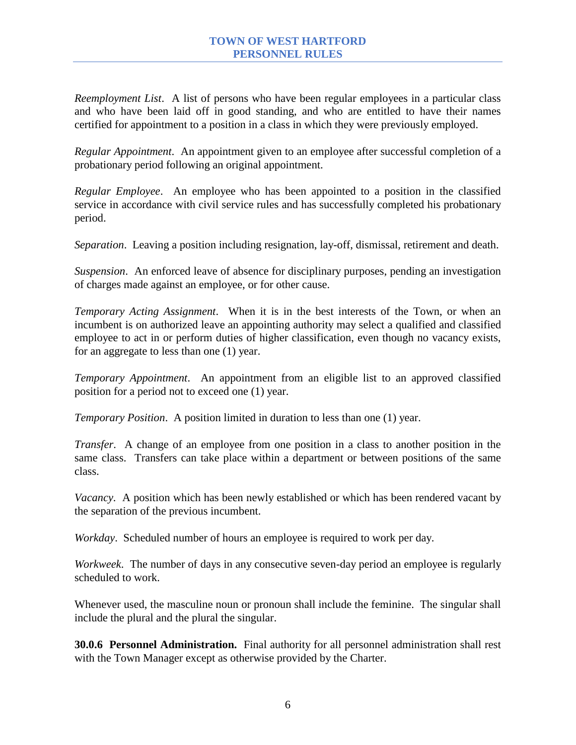*Reemployment List*. A list of persons who have been regular employees in a particular class and who have been laid off in good standing, and who are entitled to have their names certified for appointment to a position in a class in which they were previously employed.

*Regular Appointment*. An appointment given to an employee after successful completion of a probationary period following an original appointment.

*Regular Employee*. An employee who has been appointed to a position in the classified service in accordance with civil service rules and has successfully completed his probationary period.

*Separation*. Leaving a position including resignation, lay-off, dismissal, retirement and death.

*Suspension*. An enforced leave of absence for disciplinary purposes, pending an investigation of charges made against an employee, or for other cause.

*Temporary Acting Assignment*. When it is in the best interests of the Town, or when an incumbent is on authorized leave an appointing authority may select a qualified and classified employee to act in or perform duties of higher classification, even though no vacancy exists, for an aggregate to less than one (1) year.

*Temporary Appointment*. An appointment from an eligible list to an approved classified position for a period not to exceed one (1) year.

*Temporary Position*. A position limited in duration to less than one (1) year.

*Transfer*. A change of an employee from one position in a class to another position in the same class. Transfers can take place within a department or between positions of the same class.

*Vacancy*. A position which has been newly established or which has been rendered vacant by the separation of the previous incumbent.

*Workday*. Scheduled number of hours an employee is required to work per day.

*Workweek*. The number of days in any consecutive seven-day period an employee is regularly scheduled to work.

Whenever used, the masculine noun or pronoun shall include the feminine. The singular shall include the plural and the plural the singular.

**30.0.6 Personnel Administration.** Final authority for all personnel administration shall rest with the Town Manager except as otherwise provided by the Charter.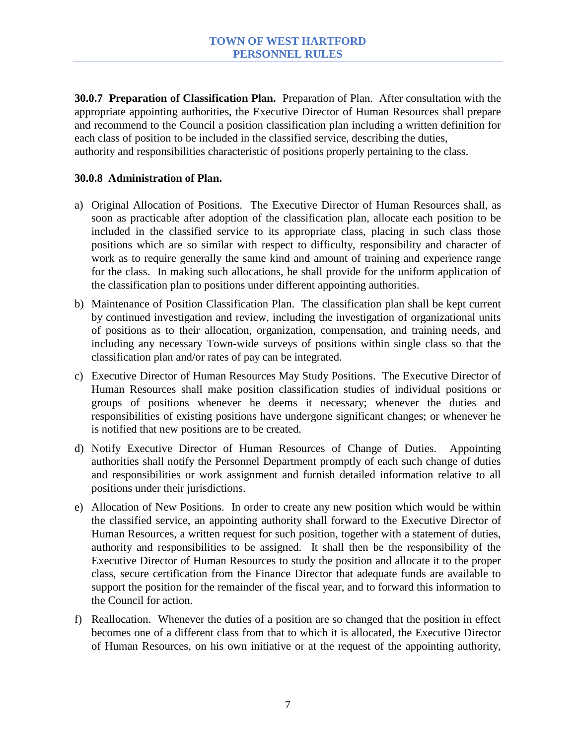**30.0.7 Preparation of Classification Plan.** Preparation of Plan. After consultation with the appropriate appointing authorities, the Executive Director of Human Resources shall prepare and recommend to the Council a position classification plan including a written definition for each class of position to be included in the classified service, describing the duties, authority and responsibilities characteristic of positions properly pertaining to the class.

#### **30.0.8 Administration of Plan.**

- a) Original Allocation of Positions. The Executive Director of Human Resources shall, as soon as practicable after adoption of the classification plan, allocate each position to be included in the classified service to its appropriate class, placing in such class those positions which are so similar with respect to difficulty, responsibility and character of work as to require generally the same kind and amount of training and experience range for the class. In making such allocations, he shall provide for the uniform application of the classification plan to positions under different appointing authorities.
- b) Maintenance of Position Classification Plan. The classification plan shall be kept current by continued investigation and review, including the investigation of organizational units of positions as to their allocation, organization, compensation, and training needs, and including any necessary Town-wide surveys of positions within single class so that the classification plan and/or rates of pay can be integrated.
- c) Executive Director of Human Resources May Study Positions. The Executive Director of Human Resources shall make position classification studies of individual positions or groups of positions whenever he deems it necessary; whenever the duties and responsibilities of existing positions have undergone significant changes; or whenever he is notified that new positions are to be created.
- d) Notify Executive Director of Human Resources of Change of Duties. Appointing authorities shall notify the Personnel Department promptly of each such change of duties and responsibilities or work assignment and furnish detailed information relative to all positions under their jurisdictions.
- e) Allocation of New Positions. In order to create any new position which would be within the classified service, an appointing authority shall forward to the Executive Director of Human Resources, a written request for such position, together with a statement of duties, authority and responsibilities to be assigned. It shall then be the responsibility of the Executive Director of Human Resources to study the position and allocate it to the proper class, secure certification from the Finance Director that adequate funds are available to support the position for the remainder of the fiscal year, and to forward this information to the Council for action.
- f) Reallocation. Whenever the duties of a position are so changed that the position in effect becomes one of a different class from that to which it is allocated, the Executive Director of Human Resources, on his own initiative or at the request of the appointing authority,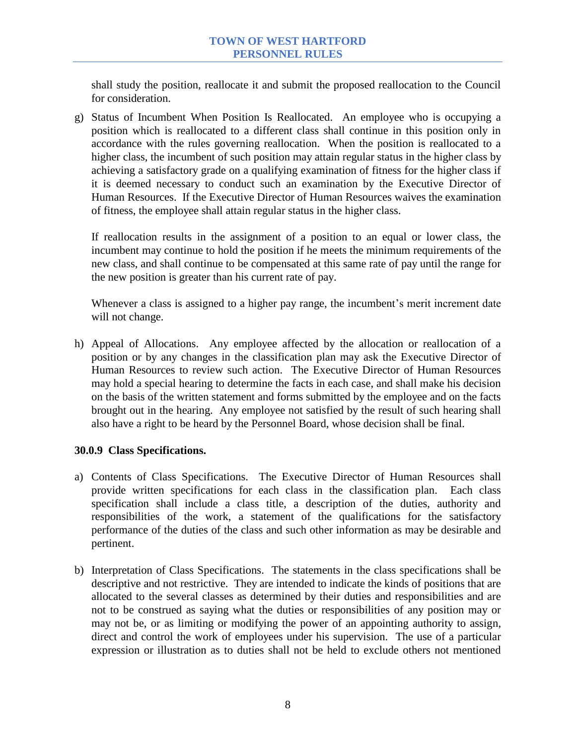shall study the position, reallocate it and submit the proposed reallocation to the Council for consideration.

g) Status of Incumbent When Position Is Reallocated. An employee who is occupying a position which is reallocated to a different class shall continue in this position only in accordance with the rules governing reallocation. When the position is reallocated to a higher class, the incumbent of such position may attain regular status in the higher class by achieving a satisfactory grade on a qualifying examination of fitness for the higher class if it is deemed necessary to conduct such an examination by the Executive Director of Human Resources. If the Executive Director of Human Resources waives the examination of fitness, the employee shall attain regular status in the higher class.

If reallocation results in the assignment of a position to an equal or lower class, the incumbent may continue to hold the position if he meets the minimum requirements of the new class, and shall continue to be compensated at this same rate of pay until the range for the new position is greater than his current rate of pay.

Whenever a class is assigned to a higher pay range, the incumbent's merit increment date will not change.

h) Appeal of Allocations. Any employee affected by the allocation or reallocation of a position or by any changes in the classification plan may ask the Executive Director of Human Resources to review such action. The Executive Director of Human Resources may hold a special hearing to determine the facts in each case, and shall make his decision on the basis of the written statement and forms submitted by the employee and on the facts brought out in the hearing. Any employee not satisfied by the result of such hearing shall also have a right to be heard by the Personnel Board, whose decision shall be final.

# **30.0.9 Class Specifications.**

- a) Contents of Class Specifications. The Executive Director of Human Resources shall provide written specifications for each class in the classification plan. Each class specification shall include a class title, a description of the duties, authority and responsibilities of the work, a statement of the qualifications for the satisfactory performance of the duties of the class and such other information as may be desirable and pertinent.
- b) Interpretation of Class Specifications. The statements in the class specifications shall be descriptive and not restrictive. They are intended to indicate the kinds of positions that are allocated to the several classes as determined by their duties and responsibilities and are not to be construed as saying what the duties or responsibilities of any position may or may not be, or as limiting or modifying the power of an appointing authority to assign, direct and control the work of employees under his supervision. The use of a particular expression or illustration as to duties shall not be held to exclude others not mentioned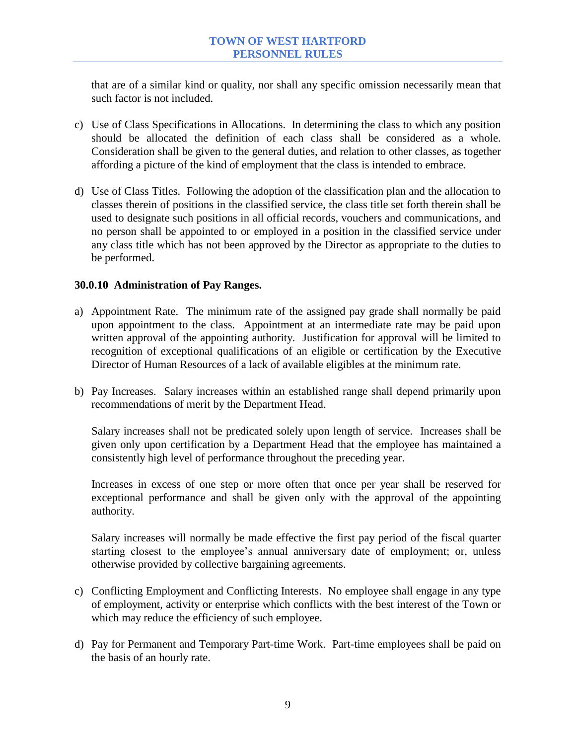that are of a similar kind or quality, nor shall any specific omission necessarily mean that such factor is not included.

- c) Use of Class Specifications in Allocations. In determining the class to which any position should be allocated the definition of each class shall be considered as a whole. Consideration shall be given to the general duties, and relation to other classes, as together affording a picture of the kind of employment that the class is intended to embrace.
- d) Use of Class Titles. Following the adoption of the classification plan and the allocation to classes therein of positions in the classified service, the class title set forth therein shall be used to designate such positions in all official records, vouchers and communications, and no person shall be appointed to or employed in a position in the classified service under any class title which has not been approved by the Director as appropriate to the duties to be performed.

# **30.0.10 Administration of Pay Ranges.**

- a) Appointment Rate. The minimum rate of the assigned pay grade shall normally be paid upon appointment to the class. Appointment at an intermediate rate may be paid upon written approval of the appointing authority. Justification for approval will be limited to recognition of exceptional qualifications of an eligible or certification by the Executive Director of Human Resources of a lack of available eligibles at the minimum rate.
- b) Pay Increases. Salary increases within an established range shall depend primarily upon recommendations of merit by the Department Head.

Salary increases shall not be predicated solely upon length of service. Increases shall be given only upon certification by a Department Head that the employee has maintained a consistently high level of performance throughout the preceding year.

Increases in excess of one step or more often that once per year shall be reserved for exceptional performance and shall be given only with the approval of the appointing authority.

Salary increases will normally be made effective the first pay period of the fiscal quarter starting closest to the employee's annual anniversary date of employment; or, unless otherwise provided by collective bargaining agreements.

- c) Conflicting Employment and Conflicting Interests. No employee shall engage in any type of employment, activity or enterprise which conflicts with the best interest of the Town or which may reduce the efficiency of such employee.
- d) Pay for Permanent and Temporary Part-time Work. Part-time employees shall be paid on the basis of an hourly rate.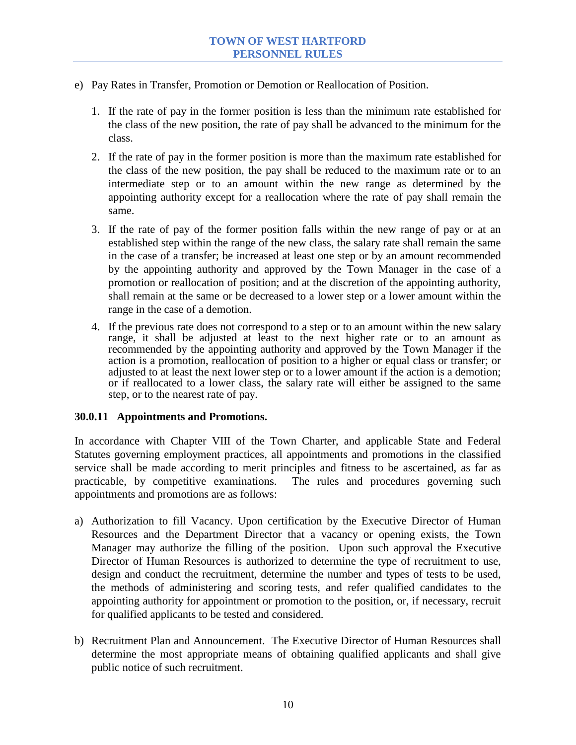- e) Pay Rates in Transfer, Promotion or Demotion or Reallocation of Position.
	- 1. If the rate of pay in the former position is less than the minimum rate established for the class of the new position, the rate of pay shall be advanced to the minimum for the class.
	- 2. If the rate of pay in the former position is more than the maximum rate established for the class of the new position, the pay shall be reduced to the maximum rate or to an intermediate step or to an amount within the new range as determined by the appointing authority except for a reallocation where the rate of pay shall remain the same.
	- 3. If the rate of pay of the former position falls within the new range of pay or at an established step within the range of the new class, the salary rate shall remain the same in the case of a transfer; be increased at least one step or by an amount recommended by the appointing authority and approved by the Town Manager in the case of a promotion or reallocation of position; and at the discretion of the appointing authority, shall remain at the same or be decreased to a lower step or a lower amount within the range in the case of a demotion.
	- 4. If the previous rate does not correspond to a step or to an amount within the new salary range, it shall be adjusted at least to the next higher rate or to an amount as recommended by the appointing authority and approved by the Town Manager if the action is a promotion, reallocation of position to a higher or equal class or transfer; or adjusted to at least the next lower step or to a lower amount if the action is a demotion; or if reallocated to a lower class, the salary rate will either be assigned to the same step, or to the nearest rate of pay.

#### **30.0.11 Appointments and Promotions.**

In accordance with Chapter VIII of the Town Charter, and applicable State and Federal Statutes governing employment practices, all appointments and promotions in the classified service shall be made according to merit principles and fitness to be ascertained, as far as practicable, by competitive examinations. The rules and procedures governing such appointments and promotions are as follows:

- a) Authorization to fill Vacancy. Upon certification by the Executive Director of Human Resources and the Department Director that a vacancy or opening exists, the Town Manager may authorize the filling of the position. Upon such approval the Executive Director of Human Resources is authorized to determine the type of recruitment to use, design and conduct the recruitment, determine the number and types of tests to be used, the methods of administering and scoring tests, and refer qualified candidates to the appointing authority for appointment or promotion to the position, or, if necessary, recruit for qualified applicants to be tested and considered.
- b) Recruitment Plan and Announcement. The Executive Director of Human Resources shall determine the most appropriate means of obtaining qualified applicants and shall give public notice of such recruitment.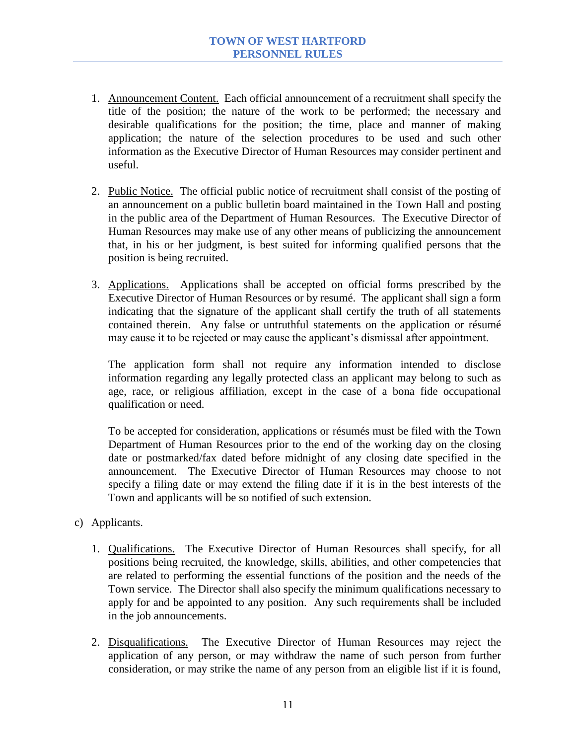- 1. Announcement Content. Each official announcement of a recruitment shall specify the title of the position; the nature of the work to be performed; the necessary and desirable qualifications for the position; the time, place and manner of making application; the nature of the selection procedures to be used and such other information as the Executive Director of Human Resources may consider pertinent and useful.
- 2. Public Notice. The official public notice of recruitment shall consist of the posting of an announcement on a public bulletin board maintained in the Town Hall and posting in the public area of the Department of Human Resources. The Executive Director of Human Resources may make use of any other means of publicizing the announcement that, in his or her judgment, is best suited for informing qualified persons that the position is being recruited.
- 3. Applications. Applications shall be accepted on official forms prescribed by the Executive Director of Human Resources or by resumé. The applicant shall sign a form indicating that the signature of the applicant shall certify the truth of all statements contained therein. Any false or untruthful statements on the application or résumé may cause it to be rejected or may cause the applicant's dismissal after appointment.

The application form shall not require any information intended to disclose information regarding any legally protected class an applicant may belong to such as age, race, or religious affiliation, except in the case of a bona fide occupational qualification or need.

To be accepted for consideration, applications or résumés must be filed with the Town Department of Human Resources prior to the end of the working day on the closing date or postmarked/fax dated before midnight of any closing date specified in the announcement. The Executive Director of Human Resources may choose to not specify a filing date or may extend the filing date if it is in the best interests of the Town and applicants will be so notified of such extension.

- c) Applicants.
	- 1. Qualifications. The Executive Director of Human Resources shall specify, for all positions being recruited, the knowledge, skills, abilities, and other competencies that are related to performing the essential functions of the position and the needs of the Town service. The Director shall also specify the minimum qualifications necessary to apply for and be appointed to any position. Any such requirements shall be included in the job announcements.
	- 2. Disqualifications. The Executive Director of Human Resources may reject the application of any person, or may withdraw the name of such person from further consideration, or may strike the name of any person from an eligible list if it is found,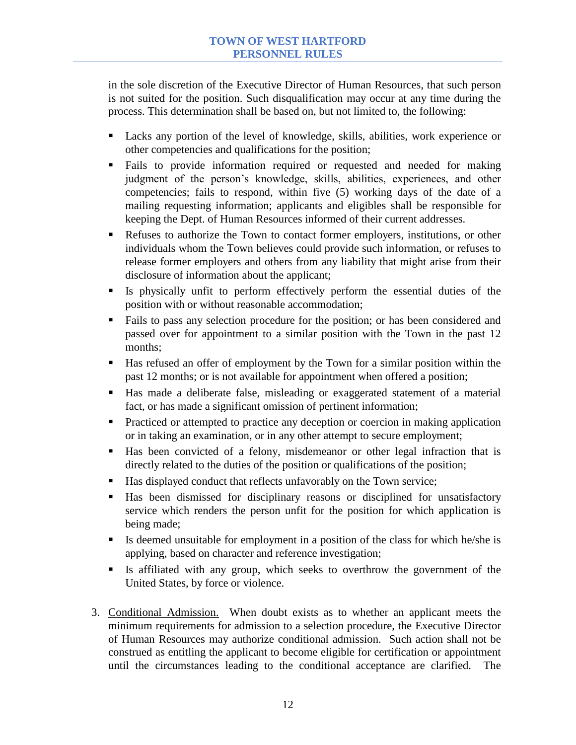in the sole discretion of the Executive Director of Human Resources, that such person is not suited for the position. Such disqualification may occur at any time during the process. This determination shall be based on, but not limited to, the following:

- Lacks any portion of the level of knowledge, skills, abilities, work experience or other competencies and qualifications for the position;
- Fails to provide information required or requested and needed for making judgment of the person's knowledge, skills, abilities, experiences, and other competencies; fails to respond, within five (5) working days of the date of a mailing requesting information; applicants and eligibles shall be responsible for keeping the Dept. of Human Resources informed of their current addresses.
- Refuses to authorize the Town to contact former employers, institutions, or other individuals whom the Town believes could provide such information, or refuses to release former employers and others from any liability that might arise from their disclosure of information about the applicant;
- Is physically unfit to perform effectively perform the essential duties of the position with or without reasonable accommodation;
- Fails to pass any selection procedure for the position; or has been considered and passed over for appointment to a similar position with the Town in the past 12 months;
- Has refused an offer of employment by the Town for a similar position within the past 12 months; or is not available for appointment when offered a position;
- Has made a deliberate false, misleading or exaggerated statement of a material fact, or has made a significant omission of pertinent information;
- **Practiced or attempted to practice any deception or coercion in making application** or in taking an examination, or in any other attempt to secure employment;
- Has been convicted of a felony, misdemeanor or other legal infraction that is directly related to the duties of the position or qualifications of the position;
- Has displayed conduct that reflects unfavorably on the Town service;
- Has been dismissed for disciplinary reasons or disciplined for unsatisfactory service which renders the person unfit for the position for which application is being made;
- Is deemed unsuitable for employment in a position of the class for which he/she is applying, based on character and reference investigation;
- Is affiliated with any group, which seeks to overthrow the government of the United States, by force or violence.
- 3. Conditional Admission. When doubt exists as to whether an applicant meets the minimum requirements for admission to a selection procedure, the Executive Director of Human Resources may authorize conditional admission. Such action shall not be construed as entitling the applicant to become eligible for certification or appointment until the circumstances leading to the conditional acceptance are clarified. The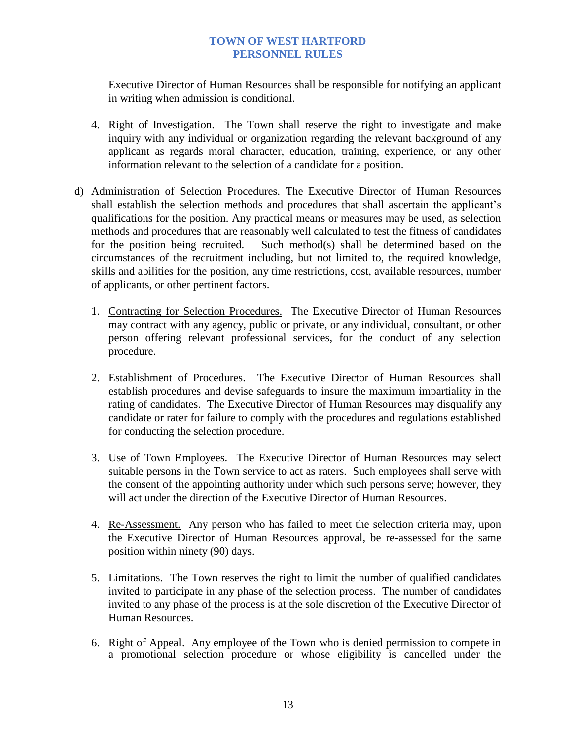Executive Director of Human Resources shall be responsible for notifying an applicant in writing when admission is conditional.

- 4. Right of Investigation. The Town shall reserve the right to investigate and make inquiry with any individual or organization regarding the relevant background of any applicant as regards moral character, education, training, experience, or any other information relevant to the selection of a candidate for a position.
- d) Administration of Selection Procedures. The Executive Director of Human Resources shall establish the selection methods and procedures that shall ascertain the applicant's qualifications for the position. Any practical means or measures may be used, as selection methods and procedures that are reasonably well calculated to test the fitness of candidates for the position being recruited. Such method(s) shall be determined based on the circumstances of the recruitment including, but not limited to, the required knowledge, skills and abilities for the position, any time restrictions, cost, available resources, number of applicants, or other pertinent factors.
	- 1. Contracting for Selection Procedures. The Executive Director of Human Resources may contract with any agency, public or private, or any individual, consultant, or other person offering relevant professional services, for the conduct of any selection procedure.
	- 2. Establishment of Procedures. The Executive Director of Human Resources shall establish procedures and devise safeguards to insure the maximum impartiality in the rating of candidates. The Executive Director of Human Resources may disqualify any candidate or rater for failure to comply with the procedures and regulations established for conducting the selection procedure.
	- 3. Use of Town Employees. The Executive Director of Human Resources may select suitable persons in the Town service to act as raters. Such employees shall serve with the consent of the appointing authority under which such persons serve; however, they will act under the direction of the Executive Director of Human Resources.
	- 4. Re-Assessment. Any person who has failed to meet the selection criteria may, upon the Executive Director of Human Resources approval, be re-assessed for the same position within ninety (90) days.
	- 5. Limitations. The Town reserves the right to limit the number of qualified candidates invited to participate in any phase of the selection process. The number of candidates invited to any phase of the process is at the sole discretion of the Executive Director of Human Resources.
	- 6. Right of Appeal. Any employee of the Town who is denied permission to compete in a promotional selection procedure or whose eligibility is cancelled under the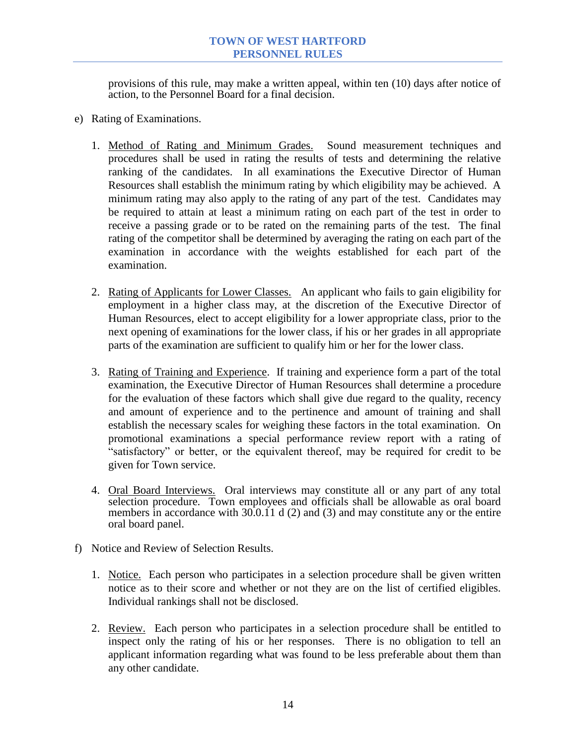provisions of this rule, may make a written appeal, within ten (10) days after notice of action, to the Personnel Board for a final decision.

- e) Rating of Examinations.
	- 1. Method of Rating and Minimum Grades. Sound measurement techniques and procedures shall be used in rating the results of tests and determining the relative ranking of the candidates. In all examinations the Executive Director of Human Resources shall establish the minimum rating by which eligibility may be achieved. A minimum rating may also apply to the rating of any part of the test. Candidates may be required to attain at least a minimum rating on each part of the test in order to receive a passing grade or to be rated on the remaining parts of the test. The final rating of the competitor shall be determined by averaging the rating on each part of the examination in accordance with the weights established for each part of the examination.
	- 2. Rating of Applicants for Lower Classes. An applicant who fails to gain eligibility for employment in a higher class may, at the discretion of the Executive Director of Human Resources, elect to accept eligibility for a lower appropriate class, prior to the next opening of examinations for the lower class, if his or her grades in all appropriate parts of the examination are sufficient to qualify him or her for the lower class.
	- 3. Rating of Training and Experience. If training and experience form a part of the total examination, the Executive Director of Human Resources shall determine a procedure for the evaluation of these factors which shall give due regard to the quality, recency and amount of experience and to the pertinence and amount of training and shall establish the necessary scales for weighing these factors in the total examination. On promotional examinations a special performance review report with a rating of "satisfactory" or better, or the equivalent thereof, may be required for credit to be given for Town service.
	- 4. Oral Board Interviews. Oral interviews may constitute all or any part of any total selection procedure. Town employees and officials shall be allowable as oral board members in accordance with 30.0.11 d (2) and (3) and may constitute any or the entire oral board panel.
- f) Notice and Review of Selection Results.
	- 1. Notice. Each person who participates in a selection procedure shall be given written notice as to their score and whether or not they are on the list of certified eligibles. Individual rankings shall not be disclosed.
	- 2. Review. Each person who participates in a selection procedure shall be entitled to inspect only the rating of his or her responses. There is no obligation to tell an applicant information regarding what was found to be less preferable about them than any other candidate.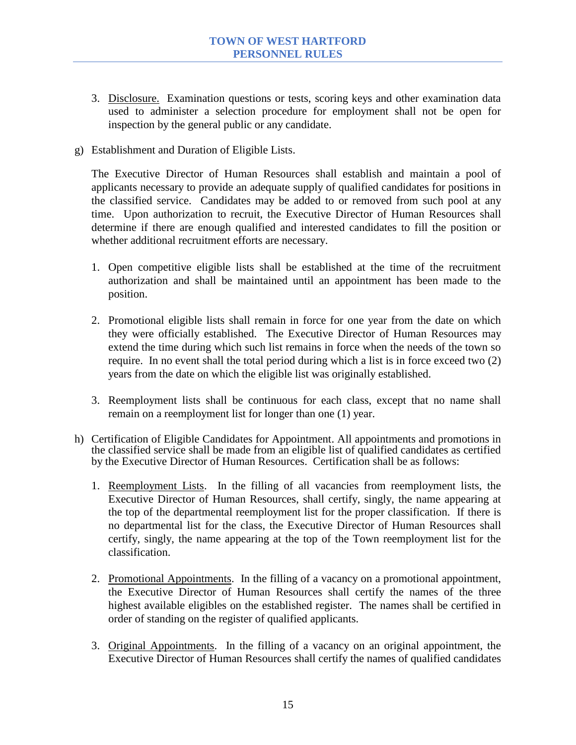- 3. Disclosure. Examination questions or tests, scoring keys and other examination data used to administer a selection procedure for employment shall not be open for inspection by the general public or any candidate.
- g) Establishment and Duration of Eligible Lists.

The Executive Director of Human Resources shall establish and maintain a pool of applicants necessary to provide an adequate supply of qualified candidates for positions in the classified service. Candidates may be added to or removed from such pool at any time. Upon authorization to recruit, the Executive Director of Human Resources shall determine if there are enough qualified and interested candidates to fill the position or whether additional recruitment efforts are necessary.

- 1. Open competitive eligible lists shall be established at the time of the recruitment authorization and shall be maintained until an appointment has been made to the position.
- 2. Promotional eligible lists shall remain in force for one year from the date on which they were officially established. The Executive Director of Human Resources may extend the time during which such list remains in force when the needs of the town so require. In no event shall the total period during which a list is in force exceed two (2) years from the date on which the eligible list was originally established.
- 3. Reemployment lists shall be continuous for each class, except that no name shall remain on a reemployment list for longer than one (1) year.
- h) Certification of Eligible Candidates for Appointment. All appointments and promotions in the classified service shall be made from an eligible list of qualified candidates as certified by the Executive Director of Human Resources. Certification shall be as follows:
	- 1. Reemployment Lists. In the filling of all vacancies from reemployment lists, the Executive Director of Human Resources, shall certify, singly, the name appearing at the top of the departmental reemployment list for the proper classification. If there is no departmental list for the class, the Executive Director of Human Resources shall certify, singly, the name appearing at the top of the Town reemployment list for the classification.
	- 2. Promotional Appointments. In the filling of a vacancy on a promotional appointment, the Executive Director of Human Resources shall certify the names of the three highest available eligibles on the established register. The names shall be certified in order of standing on the register of qualified applicants.
	- 3. Original Appointments. In the filling of a vacancy on an original appointment, the Executive Director of Human Resources shall certify the names of qualified candidates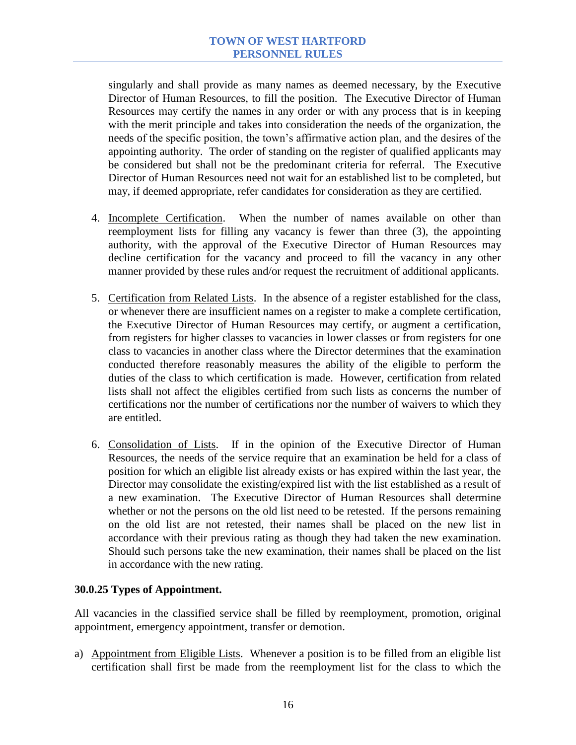singularly and shall provide as many names as deemed necessary, by the Executive Director of Human Resources, to fill the position. The Executive Director of Human Resources may certify the names in any order or with any process that is in keeping with the merit principle and takes into consideration the needs of the organization, the needs of the specific position, the town's affirmative action plan, and the desires of the appointing authority. The order of standing on the register of qualified applicants may be considered but shall not be the predominant criteria for referral. The Executive Director of Human Resources need not wait for an established list to be completed, but may, if deemed appropriate, refer candidates for consideration as they are certified.

- 4. Incomplete Certification. When the number of names available on other than reemployment lists for filling any vacancy is fewer than three (3), the appointing authority, with the approval of the Executive Director of Human Resources may decline certification for the vacancy and proceed to fill the vacancy in any other manner provided by these rules and/or request the recruitment of additional applicants.
- 5. Certification from Related Lists. In the absence of a register established for the class, or whenever there are insufficient names on a register to make a complete certification, the Executive Director of Human Resources may certify, or augment a certification, from registers for higher classes to vacancies in lower classes or from registers for one class to vacancies in another class where the Director determines that the examination conducted therefore reasonably measures the ability of the eligible to perform the duties of the class to which certification is made. However, certification from related lists shall not affect the eligibles certified from such lists as concerns the number of certifications nor the number of certifications nor the number of waivers to which they are entitled.
- 6. Consolidation of Lists. If in the opinion of the Executive Director of Human Resources, the needs of the service require that an examination be held for a class of position for which an eligible list already exists or has expired within the last year, the Director may consolidate the existing/expired list with the list established as a result of a new examination. The Executive Director of Human Resources shall determine whether or not the persons on the old list need to be retested. If the persons remaining on the old list are not retested, their names shall be placed on the new list in accordance with their previous rating as though they had taken the new examination. Should such persons take the new examination, their names shall be placed on the list in accordance with the new rating.

# **30.0.25 Types of Appointment.**

All vacancies in the classified service shall be filled by reemployment, promotion, original appointment, emergency appointment, transfer or demotion.

a) Appointment from Eligible Lists. Whenever a position is to be filled from an eligible list certification shall first be made from the reemployment list for the class to which the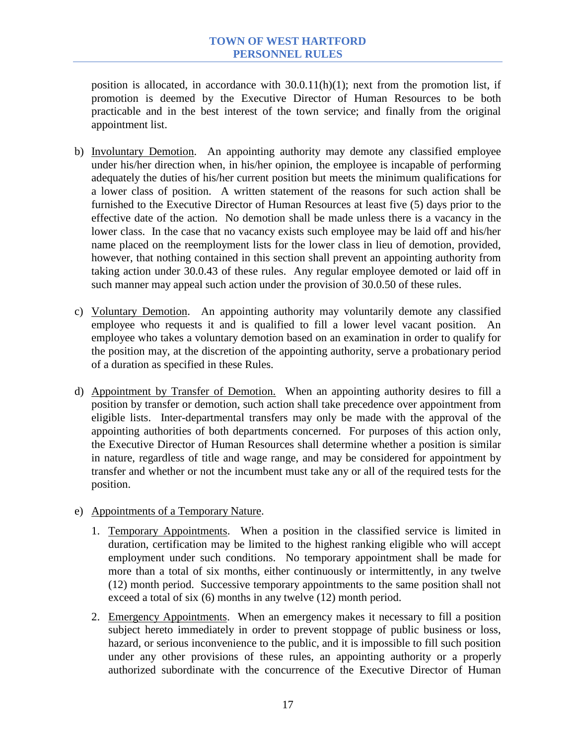position is allocated, in accordance with 30.0.11(h)(1); next from the promotion list, if promotion is deemed by the Executive Director of Human Resources to be both practicable and in the best interest of the town service; and finally from the original appointment list.

- b) Involuntary Demotion. An appointing authority may demote any classified employee under his/her direction when, in his/her opinion, the employee is incapable of performing adequately the duties of his/her current position but meets the minimum qualifications for a lower class of position. A written statement of the reasons for such action shall be furnished to the Executive Director of Human Resources at least five (5) days prior to the effective date of the action. No demotion shall be made unless there is a vacancy in the lower class. In the case that no vacancy exists such employee may be laid off and his/her name placed on the reemployment lists for the lower class in lieu of demotion, provided, however, that nothing contained in this section shall prevent an appointing authority from taking action under 30.0.43 of these rules. Any regular employee demoted or laid off in such manner may appeal such action under the provision of 30.0.50 of these rules.
- c) Voluntary Demotion. An appointing authority may voluntarily demote any classified employee who requests it and is qualified to fill a lower level vacant position. An employee who takes a voluntary demotion based on an examination in order to qualify for the position may, at the discretion of the appointing authority, serve a probationary period of a duration as specified in these Rules.
- d) Appointment by Transfer of Demotion. When an appointing authority desires to fill a position by transfer or demotion, such action shall take precedence over appointment from eligible lists. Inter-departmental transfers may only be made with the approval of the appointing authorities of both departments concerned. For purposes of this action only, the Executive Director of Human Resources shall determine whether a position is similar in nature, regardless of title and wage range, and may be considered for appointment by transfer and whether or not the incumbent must take any or all of the required tests for the position.
- e) Appointments of a Temporary Nature.
	- 1. Temporary Appointments. When a position in the classified service is limited in duration, certification may be limited to the highest ranking eligible who will accept employment under such conditions. No temporary appointment shall be made for more than a total of six months, either continuously or intermittently, in any twelve (12) month period. Successive temporary appointments to the same position shall not exceed a total of six (6) months in any twelve (12) month period.
	- 2. Emergency Appointments. When an emergency makes it necessary to fill a position subject hereto immediately in order to prevent stoppage of public business or loss, hazard, or serious inconvenience to the public, and it is impossible to fill such position under any other provisions of these rules, an appointing authority or a properly authorized subordinate with the concurrence of the Executive Director of Human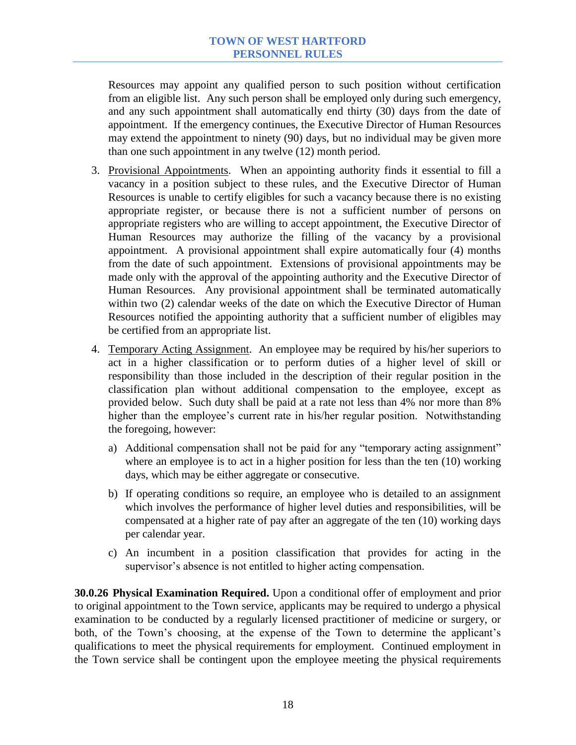Resources may appoint any qualified person to such position without certification from an eligible list. Any such person shall be employed only during such emergency, and any such appointment shall automatically end thirty (30) days from the date of appointment. If the emergency continues, the Executive Director of Human Resources may extend the appointment to ninety (90) days, but no individual may be given more than one such appointment in any twelve (12) month period.

- 3. Provisional Appointments. When an appointing authority finds it essential to fill a vacancy in a position subject to these rules, and the Executive Director of Human Resources is unable to certify eligibles for such a vacancy because there is no existing appropriate register, or because there is not a sufficient number of persons on appropriate registers who are willing to accept appointment, the Executive Director of Human Resources may authorize the filling of the vacancy by a provisional appointment. A provisional appointment shall expire automatically four (4) months from the date of such appointment. Extensions of provisional appointments may be made only with the approval of the appointing authority and the Executive Director of Human Resources. Any provisional appointment shall be terminated automatically within two (2) calendar weeks of the date on which the Executive Director of Human Resources notified the appointing authority that a sufficient number of eligibles may be certified from an appropriate list.
- 4. Temporary Acting Assignment. An employee may be required by his/her superiors to act in a higher classification or to perform duties of a higher level of skill or responsibility than those included in the description of their regular position in the classification plan without additional compensation to the employee, except as provided below. Such duty shall be paid at a rate not less than 4% nor more than 8% higher than the employee's current rate in his/her regular position. Notwithstanding the foregoing, however:
	- a) Additional compensation shall not be paid for any "temporary acting assignment" where an employee is to act in a higher position for less than the ten (10) working days, which may be either aggregate or consecutive.
	- b) If operating conditions so require, an employee who is detailed to an assignment which involves the performance of higher level duties and responsibilities, will be compensated at a higher rate of pay after an aggregate of the ten (10) working days per calendar year.
	- c) An incumbent in a position classification that provides for acting in the supervisor's absence is not entitled to higher acting compensation.

**30.0.26 Physical Examination Required.** Upon a conditional offer of employment and prior to original appointment to the Town service, applicants may be required to undergo a physical examination to be conducted by a regularly licensed practitioner of medicine or surgery, or both, of the Town's choosing, at the expense of the Town to determine the applicant's qualifications to meet the physical requirements for employment. Continued employment in the Town service shall be contingent upon the employee meeting the physical requirements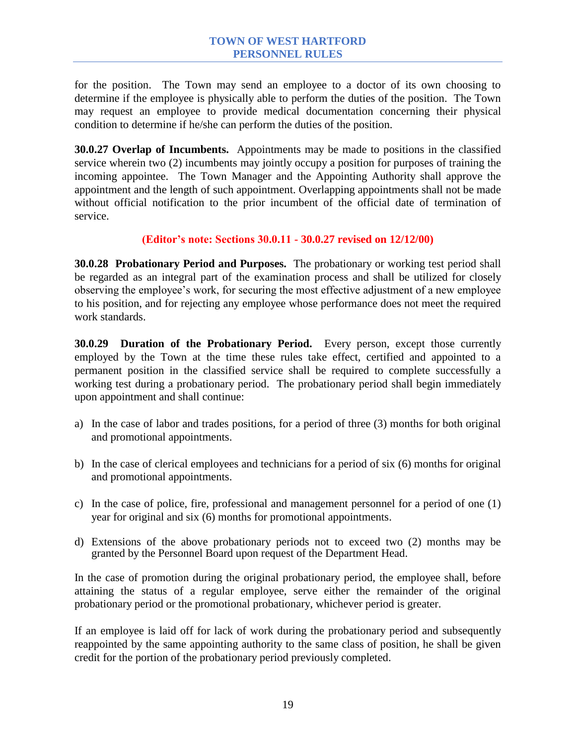for the position. The Town may send an employee to a doctor of its own choosing to determine if the employee is physically able to perform the duties of the position. The Town may request an employee to provide medical documentation concerning their physical condition to determine if he/she can perform the duties of the position.

**30.0.27 Overlap of Incumbents.** Appointments may be made to positions in the classified service wherein two (2) incumbents may jointly occupy a position for purposes of training the incoming appointee. The Town Manager and the Appointing Authority shall approve the appointment and the length of such appointment. Overlapping appointments shall not be made without official notification to the prior incumbent of the official date of termination of service.

# **(Editor's note: Sections 30.0.11 - 30.0.27 revised on 12/12/00)**

**30.0.28 Probationary Period and Purposes.** The probationary or working test period shall be regarded as an integral part of the examination process and shall be utilized for closely observing the employee's work, for securing the most effective adjustment of a new employee to his position, and for rejecting any employee whose performance does not meet the required work standards.

**30.0.29 Duration of the Probationary Period.** Every person, except those currently employed by the Town at the time these rules take effect, certified and appointed to a permanent position in the classified service shall be required to complete successfully a working test during a probationary period. The probationary period shall begin immediately upon appointment and shall continue:

- a) In the case of labor and trades positions, for a period of three (3) months for both original and promotional appointments.
- b) In the case of clerical employees and technicians for a period of six (6) months for original and promotional appointments.
- c) In the case of police, fire, professional and management personnel for a period of one (1) year for original and six (6) months for promotional appointments.
- d) Extensions of the above probationary periods not to exceed two (2) months may be granted by the Personnel Board upon request of the Department Head.

In the case of promotion during the original probationary period, the employee shall, before attaining the status of a regular employee, serve either the remainder of the original probationary period or the promotional probationary, whichever period is greater.

If an employee is laid off for lack of work during the probationary period and subsequently reappointed by the same appointing authority to the same class of position, he shall be given credit for the portion of the probationary period previously completed.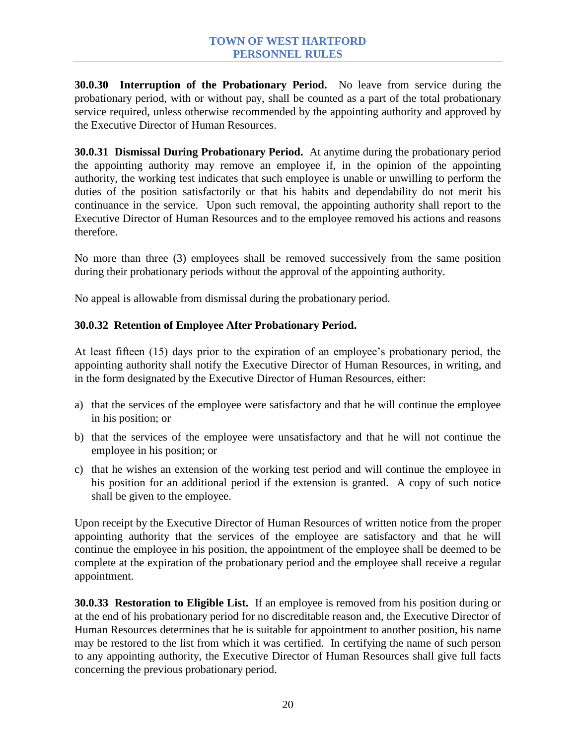**30.0.30 Interruption of the Probationary Period.** No leave from service during the probationary period, with or without pay, shall be counted as a part of the total probationary service required, unless otherwise recommended by the appointing authority and approved by the Executive Director of Human Resources.

**30.0.31 Dismissal During Probationary Period.** At anytime during the probationary period the appointing authority may remove an employee if, in the opinion of the appointing authority, the working test indicates that such employee is unable or unwilling to perform the duties of the position satisfactorily or that his habits and dependability do not merit his continuance in the service. Upon such removal, the appointing authority shall report to the Executive Director of Human Resources and to the employee removed his actions and reasons therefore.

No more than three (3) employees shall be removed successively from the same position during their probationary periods without the approval of the appointing authority.

No appeal is allowable from dismissal during the probationary period.

# **30.0.32 Retention of Employee After Probationary Period.**

At least fifteen (15) days prior to the expiration of an employee's probationary period, the appointing authority shall notify the Executive Director of Human Resources, in writing, and in the form designated by the Executive Director of Human Resources, either:

- a) that the services of the employee were satisfactory and that he will continue the employee in his position; or
- b) that the services of the employee were unsatisfactory and that he will not continue the employee in his position; or
- c) that he wishes an extension of the working test period and will continue the employee in his position for an additional period if the extension is granted. A copy of such notice shall be given to the employee.

Upon receipt by the Executive Director of Human Resources of written notice from the proper appointing authority that the services of the employee are satisfactory and that he will continue the employee in his position, the appointment of the employee shall be deemed to be complete at the expiration of the probationary period and the employee shall receive a regular appointment.

**30.0.33 Restoration to Eligible List.** If an employee is removed from his position during or at the end of his probationary period for no discreditable reason and, the Executive Director of Human Resources determines that he is suitable for appointment to another position, his name may be restored to the list from which it was certified. In certifying the name of such person to any appointing authority, the Executive Director of Human Resources shall give full facts concerning the previous probationary period.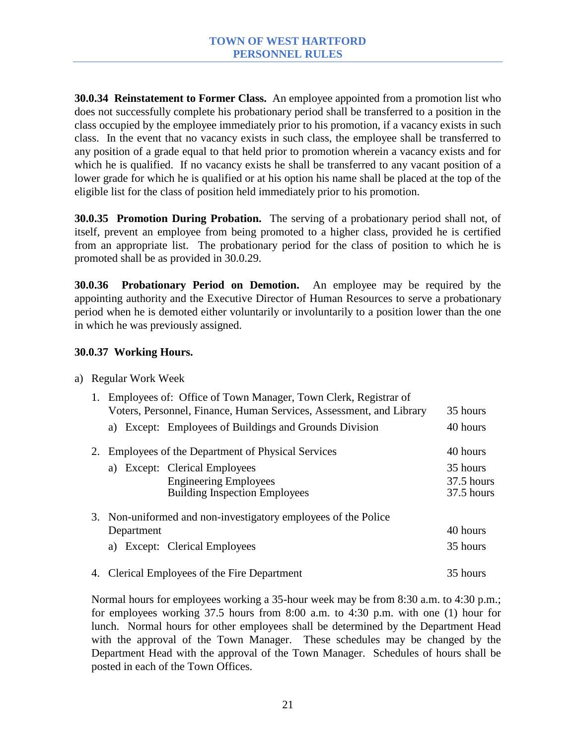**30.0.34 Reinstatement to Former Class.** An employee appointed from a promotion list who does not successfully complete his probationary period shall be transferred to a position in the class occupied by the employee immediately prior to his promotion, if a vacancy exists in such class. In the event that no vacancy exists in such class, the employee shall be transferred to any position of a grade equal to that held prior to promotion wherein a vacancy exists and for which he is qualified. If no vacancy exists he shall be transferred to any vacant position of a lower grade for which he is qualified or at his option his name shall be placed at the top of the eligible list for the class of position held immediately prior to his promotion.

**30.0.35 Promotion During Probation.** The serving of a probationary period shall not, of itself, prevent an employee from being promoted to a higher class, provided he is certified from an appropriate list. The probationary period for the class of position to which he is promoted shall be as provided in 30.0.29.

**30.0.36 Probationary Period on Demotion.** An employee may be required by the appointing authority and the Executive Director of Human Resources to serve a probationary period when he is demoted either voluntarily or involuntarily to a position lower than the one in which he was previously assigned.

# **30.0.37 Working Hours.**

#### a) Regular Work Week

| 1. | Employees of: Office of Town Manager, Town Clerk, Registrar of |                                                                     |            |
|----|----------------------------------------------------------------|---------------------------------------------------------------------|------------|
|    |                                                                | Voters, Personnel, Finance, Human Services, Assessment, and Library | 35 hours   |
|    | a)                                                             | Except: Employees of Buildings and Grounds Division                 | 40 hours   |
| 2. |                                                                | Employees of the Department of Physical Services                    | 40 hours   |
|    |                                                                | a) Except: Clerical Employees                                       | 35 hours   |
|    |                                                                | <b>Engineering Employees</b>                                        | 37.5 hours |
|    |                                                                | <b>Building Inspection Employees</b>                                | 37.5 hours |
|    |                                                                | 3. Non-uniformed and non-investigatory employees of the Police      |            |
|    | Department                                                     |                                                                     | 40 hours   |
|    | a)                                                             | <b>Except:</b> Clerical Employees                                   | 35 hours   |
|    |                                                                | 4. Clerical Employees of the Fire Department                        | 35 hours   |

Normal hours for employees working a 35-hour week may be from 8:30 a.m. to 4:30 p.m.; for employees working 37.5 hours from 8:00 a.m. to 4:30 p.m. with one (1) hour for lunch. Normal hours for other employees shall be determined by the Department Head with the approval of the Town Manager. These schedules may be changed by the Department Head with the approval of the Town Manager. Schedules of hours shall be posted in each of the Town Offices.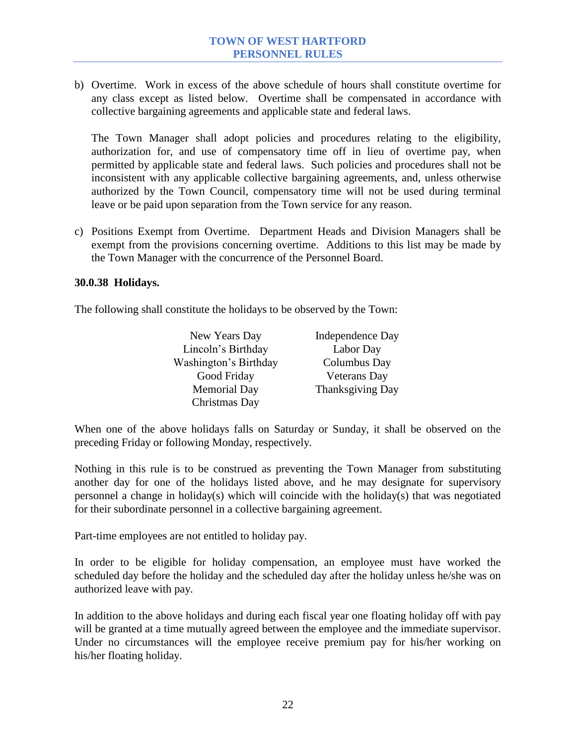b) Overtime. Work in excess of the above schedule of hours shall constitute overtime for any class except as listed below. Overtime shall be compensated in accordance with collective bargaining agreements and applicable state and federal laws.

The Town Manager shall adopt policies and procedures relating to the eligibility, authorization for, and use of compensatory time off in lieu of overtime pay, when permitted by applicable state and federal laws. Such policies and procedures shall not be inconsistent with any applicable collective bargaining agreements, and, unless otherwise authorized by the Town Council, compensatory time will not be used during terminal leave or be paid upon separation from the Town service for any reason.

c) Positions Exempt from Overtime. Department Heads and Division Managers shall be exempt from the provisions concerning overtime. Additions to this list may be made by the Town Manager with the concurrence of the Personnel Board.

#### **30.0.38 Holidays.**

The following shall constitute the holidays to be observed by the Town:

| New Years Day         | Independence Day    |
|-----------------------|---------------------|
| Lincoln's Birthday    | Labor Day           |
| Washington's Birthday | Columbus Day        |
| Good Friday           | <b>Veterans</b> Day |
| <b>Memorial Day</b>   | Thanksgiving Day    |
| Christmas Day         |                     |

When one of the above holidays falls on Saturday or Sunday, it shall be observed on the preceding Friday or following Monday, respectively.

Nothing in this rule is to be construed as preventing the Town Manager from substituting another day for one of the holidays listed above, and he may designate for supervisory personnel a change in holiday(s) which will coincide with the holiday(s) that was negotiated for their subordinate personnel in a collective bargaining agreement.

Part-time employees are not entitled to holiday pay.

In order to be eligible for holiday compensation, an employee must have worked the scheduled day before the holiday and the scheduled day after the holiday unless he/she was on authorized leave with pay.

In addition to the above holidays and during each fiscal year one floating holiday off with pay will be granted at a time mutually agreed between the employee and the immediate supervisor. Under no circumstances will the employee receive premium pay for his/her working on his/her floating holiday.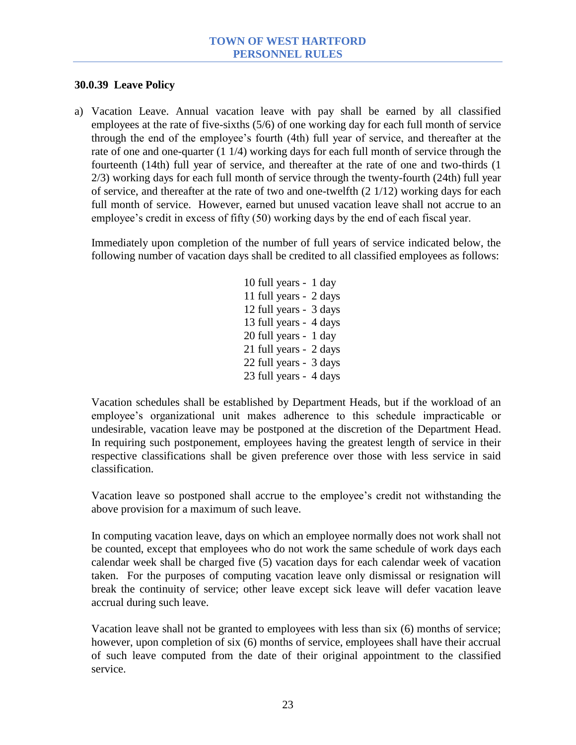#### **30.0.39 Leave Policy**

a) Vacation Leave. Annual vacation leave with pay shall be earned by all classified employees at the rate of five-sixths (5/6) of one working day for each full month of service through the end of the employee's fourth (4th) full year of service, and thereafter at the rate of one and one-quarter (1 1/4) working days for each full month of service through the fourteenth (14th) full year of service, and thereafter at the rate of one and two-thirds (1 2/3) working days for each full month of service through the twenty-fourth (24th) full year of service, and thereafter at the rate of two and one-twelfth (2 1/12) working days for each full month of service. However, earned but unused vacation leave shall not accrue to an employee's credit in excess of fifty (50) working days by the end of each fiscal year.

Immediately upon completion of the number of full years of service indicated below, the following number of vacation days shall be credited to all classified employees as follows:

> 10 full years - 1 day 11 full years - 2 days 12 full years - 3 days 13 full years - 4 days 20 full years - 1 day 21 full years - 2 days 22 full years - 3 days 23 full years - 4 days

Vacation schedules shall be established by Department Heads, but if the workload of an employee's organizational unit makes adherence to this schedule impracticable or undesirable, vacation leave may be postponed at the discretion of the Department Head. In requiring such postponement, employees having the greatest length of service in their respective classifications shall be given preference over those with less service in said classification.

Vacation leave so postponed shall accrue to the employee's credit not withstanding the above provision for a maximum of such leave.

In computing vacation leave, days on which an employee normally does not work shall not be counted, except that employees who do not work the same schedule of work days each calendar week shall be charged five (5) vacation days for each calendar week of vacation taken. For the purposes of computing vacation leave only dismissal or resignation will break the continuity of service; other leave except sick leave will defer vacation leave accrual during such leave.

Vacation leave shall not be granted to employees with less than six (6) months of service; however, upon completion of six (6) months of service, employees shall have their accrual of such leave computed from the date of their original appointment to the classified service.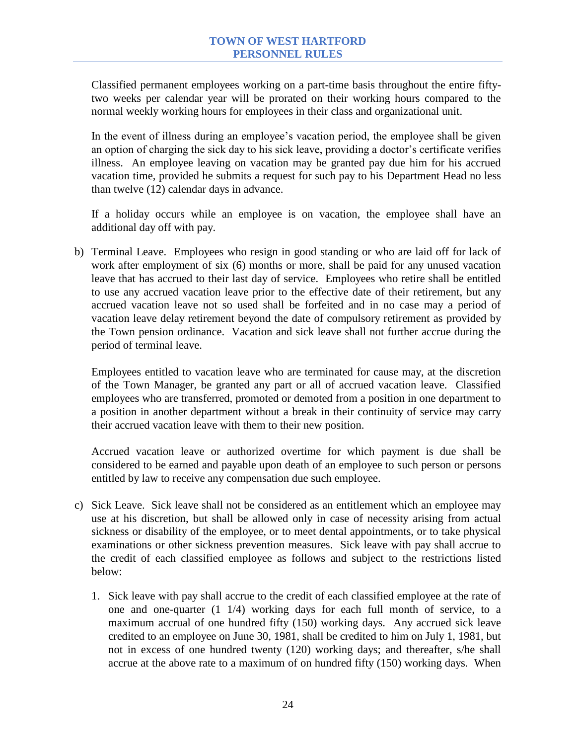Classified permanent employees working on a part-time basis throughout the entire fiftytwo weeks per calendar year will be prorated on their working hours compared to the normal weekly working hours for employees in their class and organizational unit.

In the event of illness during an employee's vacation period, the employee shall be given an option of charging the sick day to his sick leave, providing a doctor's certificate verifies illness. An employee leaving on vacation may be granted pay due him for his accrued vacation time, provided he submits a request for such pay to his Department Head no less than twelve (12) calendar days in advance.

If a holiday occurs while an employee is on vacation, the employee shall have an additional day off with pay.

b) Terminal Leave. Employees who resign in good standing or who are laid off for lack of work after employment of six (6) months or more, shall be paid for any unused vacation leave that has accrued to their last day of service. Employees who retire shall be entitled to use any accrued vacation leave prior to the effective date of their retirement, but any accrued vacation leave not so used shall be forfeited and in no case may a period of vacation leave delay retirement beyond the date of compulsory retirement as provided by the Town pension ordinance. Vacation and sick leave shall not further accrue during the period of terminal leave.

Employees entitled to vacation leave who are terminated for cause may, at the discretion of the Town Manager, be granted any part or all of accrued vacation leave. Classified employees who are transferred, promoted or demoted from a position in one department to a position in another department without a break in their continuity of service may carry their accrued vacation leave with them to their new position.

Accrued vacation leave or authorized overtime for which payment is due shall be considered to be earned and payable upon death of an employee to such person or persons entitled by law to receive any compensation due such employee.

- c) Sick Leave. Sick leave shall not be considered as an entitlement which an employee may use at his discretion, but shall be allowed only in case of necessity arising from actual sickness or disability of the employee, or to meet dental appointments, or to take physical examinations or other sickness prevention measures. Sick leave with pay shall accrue to the credit of each classified employee as follows and subject to the restrictions listed below:
	- 1. Sick leave with pay shall accrue to the credit of each classified employee at the rate of one and one-quarter (1 1/4) working days for each full month of service, to a maximum accrual of one hundred fifty (150) working days. Any accrued sick leave credited to an employee on June 30, 1981, shall be credited to him on July 1, 1981, but not in excess of one hundred twenty (120) working days; and thereafter, s/he shall accrue at the above rate to a maximum of on hundred fifty (150) working days. When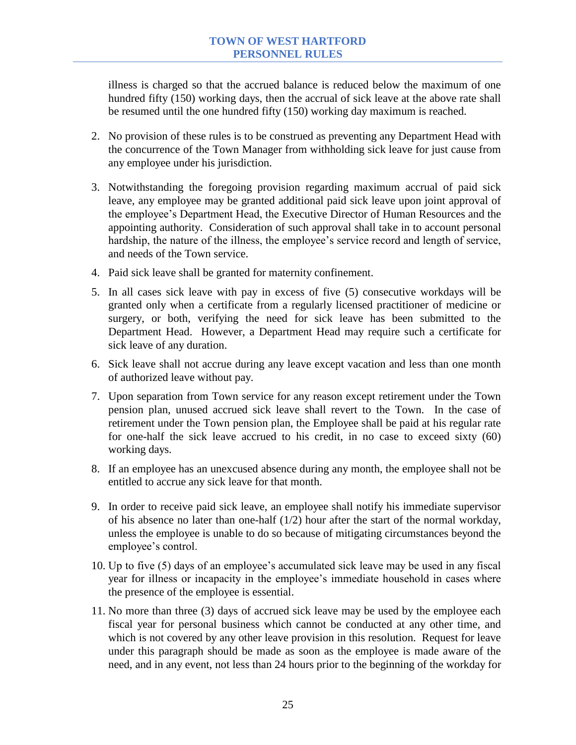illness is charged so that the accrued balance is reduced below the maximum of one hundred fifty (150) working days, then the accrual of sick leave at the above rate shall be resumed until the one hundred fifty (150) working day maximum is reached.

- 2. No provision of these rules is to be construed as preventing any Department Head with the concurrence of the Town Manager from withholding sick leave for just cause from any employee under his jurisdiction.
- 3. Notwithstanding the foregoing provision regarding maximum accrual of paid sick leave, any employee may be granted additional paid sick leave upon joint approval of the employee's Department Head, the Executive Director of Human Resources and the appointing authority. Consideration of such approval shall take in to account personal hardship, the nature of the illness, the employee's service record and length of service, and needs of the Town service.
- 4. Paid sick leave shall be granted for maternity confinement.
- 5. In all cases sick leave with pay in excess of five (5) consecutive workdays will be granted only when a certificate from a regularly licensed practitioner of medicine or surgery, or both, verifying the need for sick leave has been submitted to the Department Head. However, a Department Head may require such a certificate for sick leave of any duration.
- 6. Sick leave shall not accrue during any leave except vacation and less than one month of authorized leave without pay.
- 7. Upon separation from Town service for any reason except retirement under the Town pension plan, unused accrued sick leave shall revert to the Town. In the case of retirement under the Town pension plan, the Employee shall be paid at his regular rate for one-half the sick leave accrued to his credit, in no case to exceed sixty (60) working days.
- 8. If an employee has an unexcused absence during any month, the employee shall not be entitled to accrue any sick leave for that month.
- 9. In order to receive paid sick leave, an employee shall notify his immediate supervisor of his absence no later than one-half  $(1/2)$  hour after the start of the normal workday, unless the employee is unable to do so because of mitigating circumstances beyond the employee's control.
- 10. Up to five (5) days of an employee's accumulated sick leave may be used in any fiscal year for illness or incapacity in the employee's immediate household in cases where the presence of the employee is essential.
- 11. No more than three (3) days of accrued sick leave may be used by the employee each fiscal year for personal business which cannot be conducted at any other time, and which is not covered by any other leave provision in this resolution. Request for leave under this paragraph should be made as soon as the employee is made aware of the need, and in any event, not less than 24 hours prior to the beginning of the workday for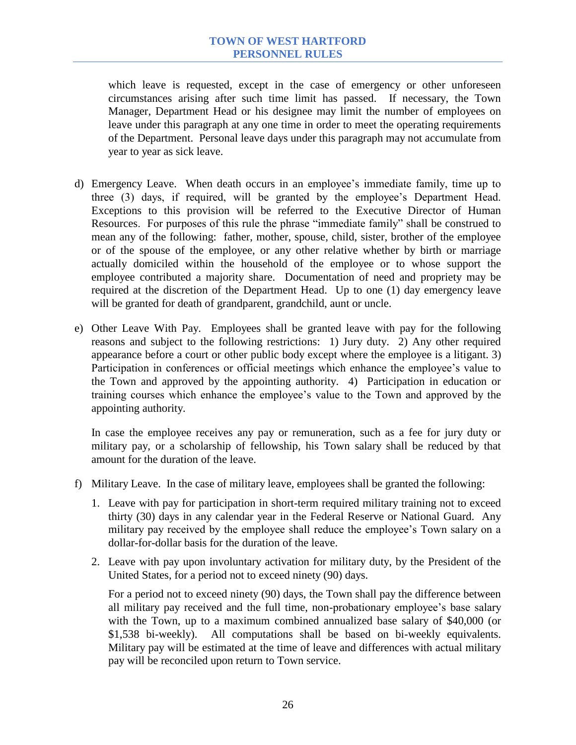which leave is requested, except in the case of emergency or other unforeseen circumstances arising after such time limit has passed. If necessary, the Town Manager, Department Head or his designee may limit the number of employees on leave under this paragraph at any one time in order to meet the operating requirements of the Department. Personal leave days under this paragraph may not accumulate from year to year as sick leave.

- d) Emergency Leave. When death occurs in an employee's immediate family, time up to three (3) days, if required, will be granted by the employee's Department Head. Exceptions to this provision will be referred to the Executive Director of Human Resources. For purposes of this rule the phrase "immediate family" shall be construed to mean any of the following: father, mother, spouse, child, sister, brother of the employee or of the spouse of the employee, or any other relative whether by birth or marriage actually domiciled within the household of the employee or to whose support the employee contributed a majority share. Documentation of need and propriety may be required at the discretion of the Department Head. Up to one (1) day emergency leave will be granted for death of grandparent, grandchild, aunt or uncle.
- e) Other Leave With Pay. Employees shall be granted leave with pay for the following reasons and subject to the following restrictions: 1) Jury duty. 2) Any other required appearance before a court or other public body except where the employee is a litigant. 3) Participation in conferences or official meetings which enhance the employee's value to the Town and approved by the appointing authority. 4) Participation in education or training courses which enhance the employee's value to the Town and approved by the appointing authority.

In case the employee receives any pay or remuneration, such as a fee for jury duty or military pay, or a scholarship of fellowship, his Town salary shall be reduced by that amount for the duration of the leave.

- f) Military Leave. In the case of military leave, employees shall be granted the following:
	- 1. Leave with pay for participation in short-term required military training not to exceed thirty (30) days in any calendar year in the Federal Reserve or National Guard. Any military pay received by the employee shall reduce the employee's Town salary on a dollar-for-dollar basis for the duration of the leave.
	- 2. Leave with pay upon involuntary activation for military duty, by the President of the United States, for a period not to exceed ninety (90) days.

For a period not to exceed ninety (90) days, the Town shall pay the difference between all military pay received and the full time, non-probationary employee's base salary with the Town, up to a maximum combined annualized base salary of \$40,000 (or \$1,538 bi-weekly). All computations shall be based on bi-weekly equivalents. Military pay will be estimated at the time of leave and differences with actual military pay will be reconciled upon return to Town service.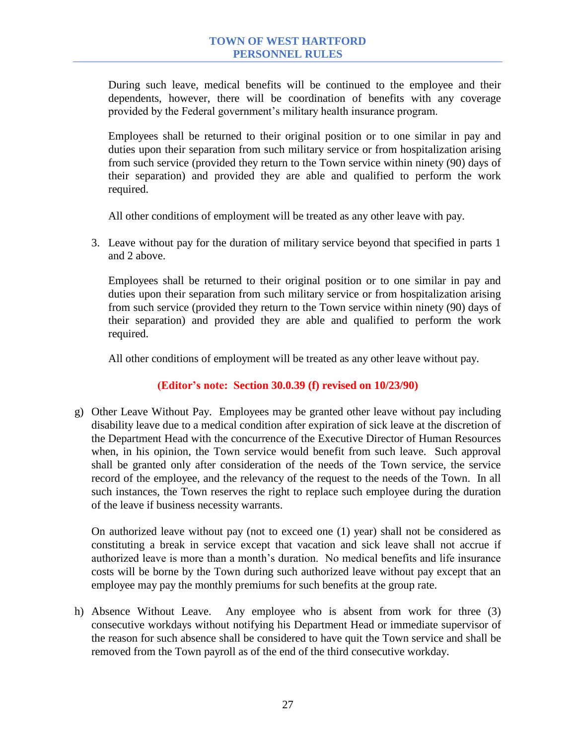During such leave, medical benefits will be continued to the employee and their dependents, however, there will be coordination of benefits with any coverage provided by the Federal government's military health insurance program.

Employees shall be returned to their original position or to one similar in pay and duties upon their separation from such military service or from hospitalization arising from such service (provided they return to the Town service within ninety (90) days of their separation) and provided they are able and qualified to perform the work required.

All other conditions of employment will be treated as any other leave with pay.

3. Leave without pay for the duration of military service beyond that specified in parts 1 and 2 above.

Employees shall be returned to their original position or to one similar in pay and duties upon their separation from such military service or from hospitalization arising from such service (provided they return to the Town service within ninety (90) days of their separation) and provided they are able and qualified to perform the work required.

All other conditions of employment will be treated as any other leave without pay.

# **(Editor's note: Section 30.0.39 (f) revised on 10/23/90)**

g) Other Leave Without Pay. Employees may be granted other leave without pay including disability leave due to a medical condition after expiration of sick leave at the discretion of the Department Head with the concurrence of the Executive Director of Human Resources when, in his opinion, the Town service would benefit from such leave. Such approval shall be granted only after consideration of the needs of the Town service, the service record of the employee, and the relevancy of the request to the needs of the Town. In all such instances, the Town reserves the right to replace such employee during the duration of the leave if business necessity warrants.

On authorized leave without pay (not to exceed one (1) year) shall not be considered as constituting a break in service except that vacation and sick leave shall not accrue if authorized leave is more than a month's duration. No medical benefits and life insurance costs will be borne by the Town during such authorized leave without pay except that an employee may pay the monthly premiums for such benefits at the group rate.

h) Absence Without Leave. Any employee who is absent from work for three (3) consecutive workdays without notifying his Department Head or immediate supervisor of the reason for such absence shall be considered to have quit the Town service and shall be removed from the Town payroll as of the end of the third consecutive workday.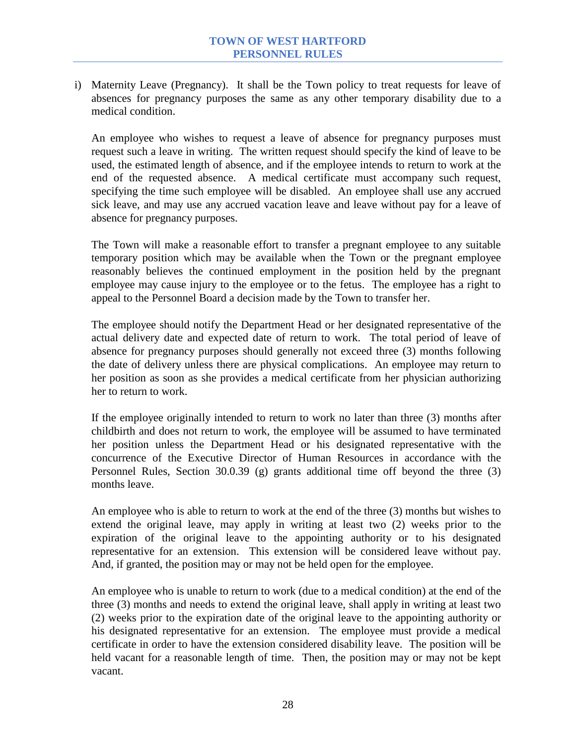i) Maternity Leave (Pregnancy). It shall be the Town policy to treat requests for leave of absences for pregnancy purposes the same as any other temporary disability due to a medical condition.

An employee who wishes to request a leave of absence for pregnancy purposes must request such a leave in writing. The written request should specify the kind of leave to be used, the estimated length of absence, and if the employee intends to return to work at the end of the requested absence. A medical certificate must accompany such request, specifying the time such employee will be disabled. An employee shall use any accrued sick leave, and may use any accrued vacation leave and leave without pay for a leave of absence for pregnancy purposes.

The Town will make a reasonable effort to transfer a pregnant employee to any suitable temporary position which may be available when the Town or the pregnant employee reasonably believes the continued employment in the position held by the pregnant employee may cause injury to the employee or to the fetus. The employee has a right to appeal to the Personnel Board a decision made by the Town to transfer her.

The employee should notify the Department Head or her designated representative of the actual delivery date and expected date of return to work. The total period of leave of absence for pregnancy purposes should generally not exceed three (3) months following the date of delivery unless there are physical complications. An employee may return to her position as soon as she provides a medical certificate from her physician authorizing her to return to work.

If the employee originally intended to return to work no later than three (3) months after childbirth and does not return to work, the employee will be assumed to have terminated her position unless the Department Head or his designated representative with the concurrence of the Executive Director of Human Resources in accordance with the Personnel Rules, Section 30.0.39 (g) grants additional time off beyond the three (3) months leave.

An employee who is able to return to work at the end of the three (3) months but wishes to extend the original leave, may apply in writing at least two (2) weeks prior to the expiration of the original leave to the appointing authority or to his designated representative for an extension. This extension will be considered leave without pay. And, if granted, the position may or may not be held open for the employee.

An employee who is unable to return to work (due to a medical condition) at the end of the three (3) months and needs to extend the original leave, shall apply in writing at least two (2) weeks prior to the expiration date of the original leave to the appointing authority or his designated representative for an extension. The employee must provide a medical certificate in order to have the extension considered disability leave. The position will be held vacant for a reasonable length of time. Then, the position may or may not be kept vacant.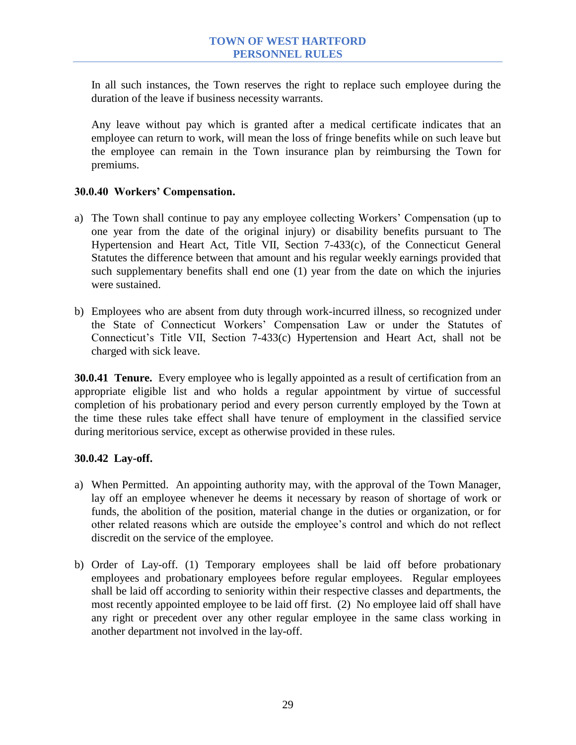In all such instances, the Town reserves the right to replace such employee during the duration of the leave if business necessity warrants.

Any leave without pay which is granted after a medical certificate indicates that an employee can return to work, will mean the loss of fringe benefits while on such leave but the employee can remain in the Town insurance plan by reimbursing the Town for premiums.

#### **30.0.40 Workers' Compensation.**

- a) The Town shall continue to pay any employee collecting Workers' Compensation (up to one year from the date of the original injury) or disability benefits pursuant to The Hypertension and Heart Act, Title VII, Section 7-433(c), of the Connecticut General Statutes the difference between that amount and his regular weekly earnings provided that such supplementary benefits shall end one (1) year from the date on which the injuries were sustained.
- b) Employees who are absent from duty through work-incurred illness, so recognized under the State of Connecticut Workers' Compensation Law or under the Statutes of Connecticut's Title VII, Section 7-433(c) Hypertension and Heart Act, shall not be charged with sick leave.

**30.0.41 Tenure.** Every employee who is legally appointed as a result of certification from an appropriate eligible list and who holds a regular appointment by virtue of successful completion of his probationary period and every person currently employed by the Town at the time these rules take effect shall have tenure of employment in the classified service during meritorious service, except as otherwise provided in these rules.

#### **30.0.42 Lay-off.**

- a) When Permitted. An appointing authority may, with the approval of the Town Manager, lay off an employee whenever he deems it necessary by reason of shortage of work or funds, the abolition of the position, material change in the duties or organization, or for other related reasons which are outside the employee's control and which do not reflect discredit on the service of the employee.
- b) Order of Lay-off. (1) Temporary employees shall be laid off before probationary employees and probationary employees before regular employees. Regular employees shall be laid off according to seniority within their respective classes and departments, the most recently appointed employee to be laid off first. (2) No employee laid off shall have any right or precedent over any other regular employee in the same class working in another department not involved in the lay-off.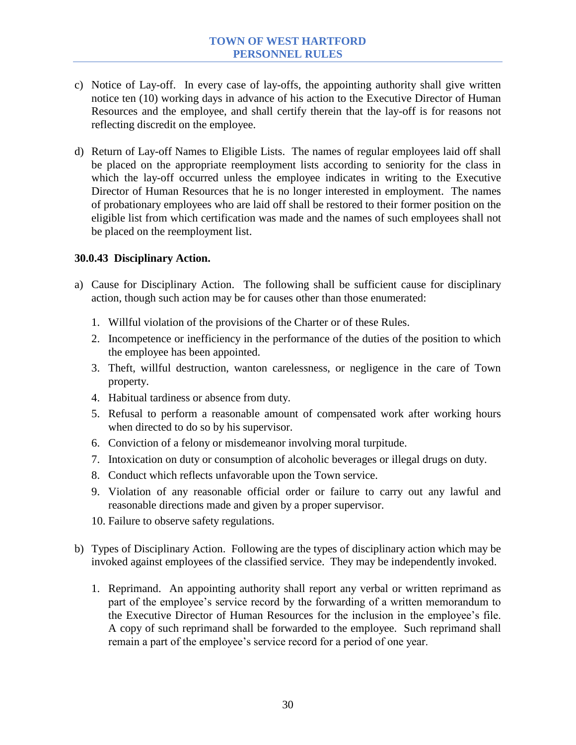- c) Notice of Lay-off. In every case of lay-offs, the appointing authority shall give written notice ten (10) working days in advance of his action to the Executive Director of Human Resources and the employee, and shall certify therein that the lay-off is for reasons not reflecting discredit on the employee.
- d) Return of Lay-off Names to Eligible Lists. The names of regular employees laid off shall be placed on the appropriate reemployment lists according to seniority for the class in which the lay-off occurred unless the employee indicates in writing to the Executive Director of Human Resources that he is no longer interested in employment. The names of probationary employees who are laid off shall be restored to their former position on the eligible list from which certification was made and the names of such employees shall not be placed on the reemployment list.

# **30.0.43 Disciplinary Action.**

- a) Cause for Disciplinary Action. The following shall be sufficient cause for disciplinary action, though such action may be for causes other than those enumerated:
	- 1. Willful violation of the provisions of the Charter or of these Rules.
	- 2. Incompetence or inefficiency in the performance of the duties of the position to which the employee has been appointed.
	- 3. Theft, willful destruction, wanton carelessness, or negligence in the care of Town property.
	- 4. Habitual tardiness or absence from duty.
	- 5. Refusal to perform a reasonable amount of compensated work after working hours when directed to do so by his supervisor.
	- 6. Conviction of a felony or misdemeanor involving moral turpitude.
	- 7. Intoxication on duty or consumption of alcoholic beverages or illegal drugs on duty.
	- 8. Conduct which reflects unfavorable upon the Town service.
	- 9. Violation of any reasonable official order or failure to carry out any lawful and reasonable directions made and given by a proper supervisor.
	- 10. Failure to observe safety regulations.
- b) Types of Disciplinary Action. Following are the types of disciplinary action which may be invoked against employees of the classified service. They may be independently invoked.
	- 1. Reprimand. An appointing authority shall report any verbal or written reprimand as part of the employee's service record by the forwarding of a written memorandum to the Executive Director of Human Resources for the inclusion in the employee's file. A copy of such reprimand shall be forwarded to the employee. Such reprimand shall remain a part of the employee's service record for a period of one year.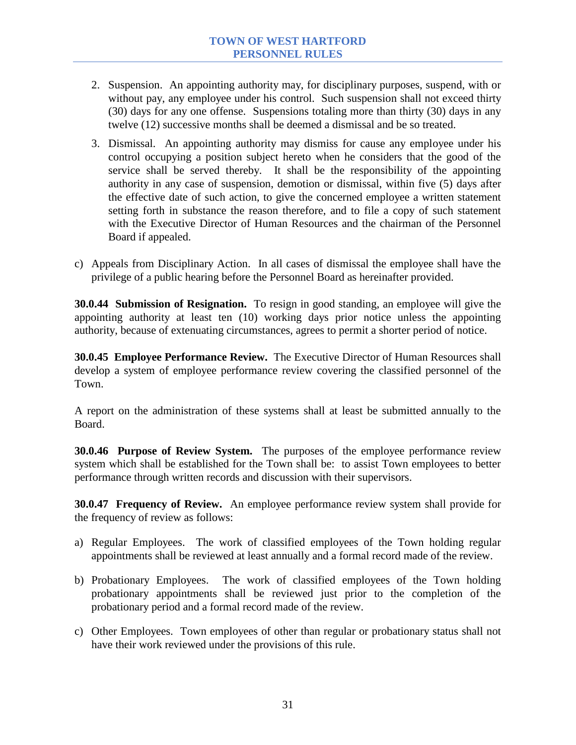- 2. Suspension. An appointing authority may, for disciplinary purposes, suspend, with or without pay, any employee under his control. Such suspension shall not exceed thirty (30) days for any one offense. Suspensions totaling more than thirty (30) days in any twelve (12) successive months shall be deemed a dismissal and be so treated.
- 3. Dismissal. An appointing authority may dismiss for cause any employee under his control occupying a position subject hereto when he considers that the good of the service shall be served thereby. It shall be the responsibility of the appointing authority in any case of suspension, demotion or dismissal, within five (5) days after the effective date of such action, to give the concerned employee a written statement setting forth in substance the reason therefore, and to file a copy of such statement with the Executive Director of Human Resources and the chairman of the Personnel Board if appealed.
- c) Appeals from Disciplinary Action. In all cases of dismissal the employee shall have the privilege of a public hearing before the Personnel Board as hereinafter provided.

**30.0.44 Submission of Resignation.** To resign in good standing, an employee will give the appointing authority at least ten (10) working days prior notice unless the appointing authority, because of extenuating circumstances, agrees to permit a shorter period of notice.

**30.0.45 Employee Performance Review.** The Executive Director of Human Resources shall develop a system of employee performance review covering the classified personnel of the Town.

A report on the administration of these systems shall at least be submitted annually to the Board.

**30.0.46 Purpose of Review System.** The purposes of the employee performance review system which shall be established for the Town shall be: to assist Town employees to better performance through written records and discussion with their supervisors.

**30.0.47 Frequency of Review.** An employee performance review system shall provide for the frequency of review as follows:

- a) Regular Employees. The work of classified employees of the Town holding regular appointments shall be reviewed at least annually and a formal record made of the review.
- b) Probationary Employees. The work of classified employees of the Town holding probationary appointments shall be reviewed just prior to the completion of the probationary period and a formal record made of the review.
- c) Other Employees. Town employees of other than regular or probationary status shall not have their work reviewed under the provisions of this rule.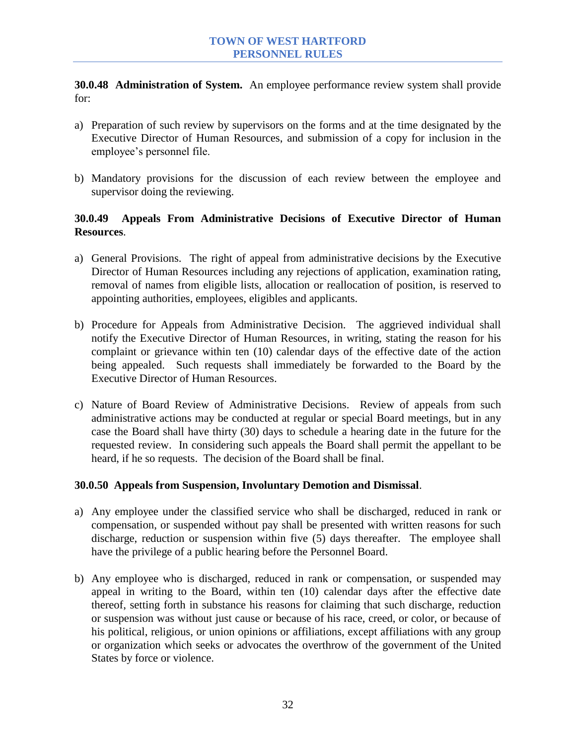**30.0.48 Administration of System.** An employee performance review system shall provide for:

- a) Preparation of such review by supervisors on the forms and at the time designated by the Executive Director of Human Resources, and submission of a copy for inclusion in the employee's personnel file.
- b) Mandatory provisions for the discussion of each review between the employee and supervisor doing the reviewing.

# **30.0.49 Appeals From Administrative Decisions of Executive Director of Human Resources**.

- a) General Provisions. The right of appeal from administrative decisions by the Executive Director of Human Resources including any rejections of application, examination rating, removal of names from eligible lists, allocation or reallocation of position, is reserved to appointing authorities, employees, eligibles and applicants.
- b) Procedure for Appeals from Administrative Decision. The aggrieved individual shall notify the Executive Director of Human Resources, in writing, stating the reason for his complaint or grievance within ten (10) calendar days of the effective date of the action being appealed. Such requests shall immediately be forwarded to the Board by the Executive Director of Human Resources.
- c) Nature of Board Review of Administrative Decisions. Review of appeals from such administrative actions may be conducted at regular or special Board meetings, but in any case the Board shall have thirty (30) days to schedule a hearing date in the future for the requested review. In considering such appeals the Board shall permit the appellant to be heard, if he so requests. The decision of the Board shall be final.

# **30.0.50 Appeals from Suspension, Involuntary Demotion and Dismissal**.

- a) Any employee under the classified service who shall be discharged, reduced in rank or compensation, or suspended without pay shall be presented with written reasons for such discharge, reduction or suspension within five (5) days thereafter. The employee shall have the privilege of a public hearing before the Personnel Board.
- b) Any employee who is discharged, reduced in rank or compensation, or suspended may appeal in writing to the Board, within ten (10) calendar days after the effective date thereof, setting forth in substance his reasons for claiming that such discharge, reduction or suspension was without just cause or because of his race, creed, or color, or because of his political, religious, or union opinions or affiliations, except affiliations with any group or organization which seeks or advocates the overthrow of the government of the United States by force or violence.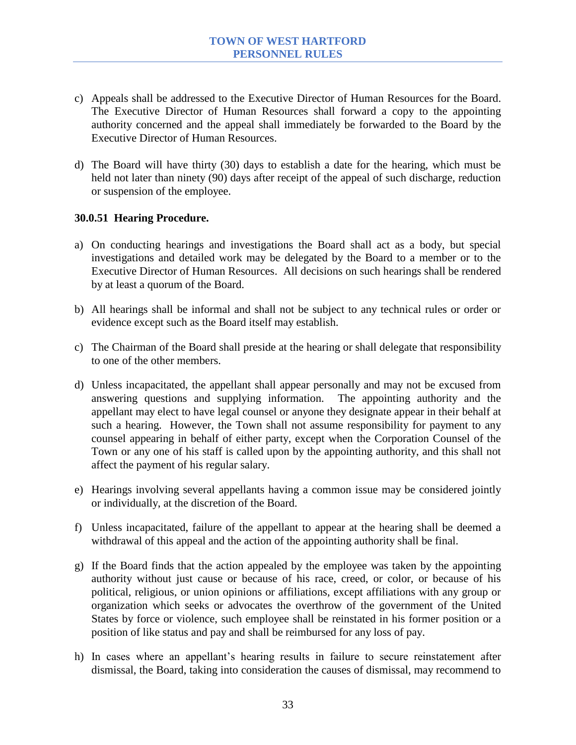- c) Appeals shall be addressed to the Executive Director of Human Resources for the Board. The Executive Director of Human Resources shall forward a copy to the appointing authority concerned and the appeal shall immediately be forwarded to the Board by the Executive Director of Human Resources.
- d) The Board will have thirty (30) days to establish a date for the hearing, which must be held not later than ninety (90) days after receipt of the appeal of such discharge, reduction or suspension of the employee.

#### **30.0.51 Hearing Procedure.**

- a) On conducting hearings and investigations the Board shall act as a body, but special investigations and detailed work may be delegated by the Board to a member or to the Executive Director of Human Resources. All decisions on such hearings shall be rendered by at least a quorum of the Board.
- b) All hearings shall be informal and shall not be subject to any technical rules or order or evidence except such as the Board itself may establish.
- c) The Chairman of the Board shall preside at the hearing or shall delegate that responsibility to one of the other members.
- d) Unless incapacitated, the appellant shall appear personally and may not be excused from answering questions and supplying information. The appointing authority and the appellant may elect to have legal counsel or anyone they designate appear in their behalf at such a hearing. However, the Town shall not assume responsibility for payment to any counsel appearing in behalf of either party, except when the Corporation Counsel of the Town or any one of his staff is called upon by the appointing authority, and this shall not affect the payment of his regular salary.
- e) Hearings involving several appellants having a common issue may be considered jointly or individually, at the discretion of the Board.
- f) Unless incapacitated, failure of the appellant to appear at the hearing shall be deemed a withdrawal of this appeal and the action of the appointing authority shall be final.
- g) If the Board finds that the action appealed by the employee was taken by the appointing authority without just cause or because of his race, creed, or color, or because of his political, religious, or union opinions or affiliations, except affiliations with any group or organization which seeks or advocates the overthrow of the government of the United States by force or violence, such employee shall be reinstated in his former position or a position of like status and pay and shall be reimbursed for any loss of pay.
- h) In cases where an appellant's hearing results in failure to secure reinstatement after dismissal, the Board, taking into consideration the causes of dismissal, may recommend to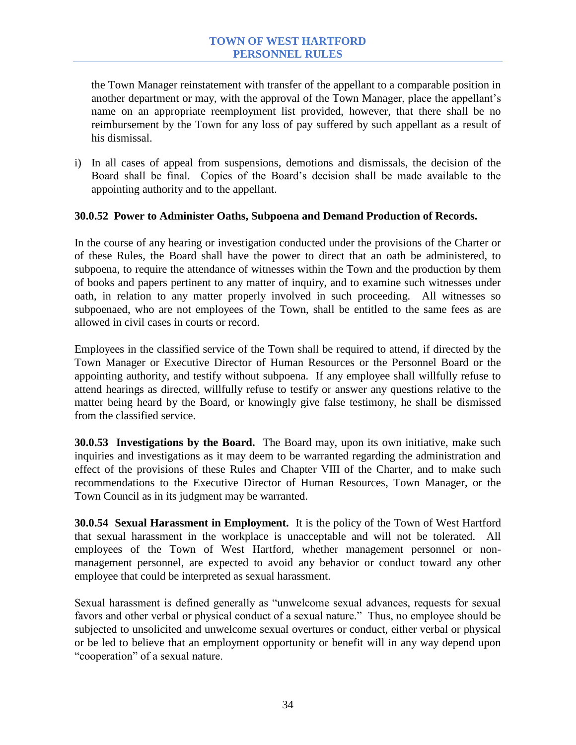the Town Manager reinstatement with transfer of the appellant to a comparable position in another department or may, with the approval of the Town Manager, place the appellant's name on an appropriate reemployment list provided, however, that there shall be no reimbursement by the Town for any loss of pay suffered by such appellant as a result of his dismissal.

i) In all cases of appeal from suspensions, demotions and dismissals, the decision of the Board shall be final. Copies of the Board's decision shall be made available to the appointing authority and to the appellant.

#### **30.0.52 Power to Administer Oaths, Subpoena and Demand Production of Records.**

In the course of any hearing or investigation conducted under the provisions of the Charter or of these Rules, the Board shall have the power to direct that an oath be administered, to subpoena, to require the attendance of witnesses within the Town and the production by them of books and papers pertinent to any matter of inquiry, and to examine such witnesses under oath, in relation to any matter properly involved in such proceeding. All witnesses so subpoenaed, who are not employees of the Town, shall be entitled to the same fees as are allowed in civil cases in courts or record.

Employees in the classified service of the Town shall be required to attend, if directed by the Town Manager or Executive Director of Human Resources or the Personnel Board or the appointing authority, and testify without subpoena. If any employee shall willfully refuse to attend hearings as directed, willfully refuse to testify or answer any questions relative to the matter being heard by the Board, or knowingly give false testimony, he shall be dismissed from the classified service.

**30.0.53 Investigations by the Board.** The Board may, upon its own initiative, make such inquiries and investigations as it may deem to be warranted regarding the administration and effect of the provisions of these Rules and Chapter VIII of the Charter, and to make such recommendations to the Executive Director of Human Resources, Town Manager, or the Town Council as in its judgment may be warranted.

**30.0.54 Sexual Harassment in Employment.** It is the policy of the Town of West Hartford that sexual harassment in the workplace is unacceptable and will not be tolerated. All employees of the Town of West Hartford, whether management personnel or nonmanagement personnel, are expected to avoid any behavior or conduct toward any other employee that could be interpreted as sexual harassment.

Sexual harassment is defined generally as "unwelcome sexual advances, requests for sexual favors and other verbal or physical conduct of a sexual nature." Thus, no employee should be subjected to unsolicited and unwelcome sexual overtures or conduct, either verbal or physical or be led to believe that an employment opportunity or benefit will in any way depend upon "cooperation" of a sexual nature.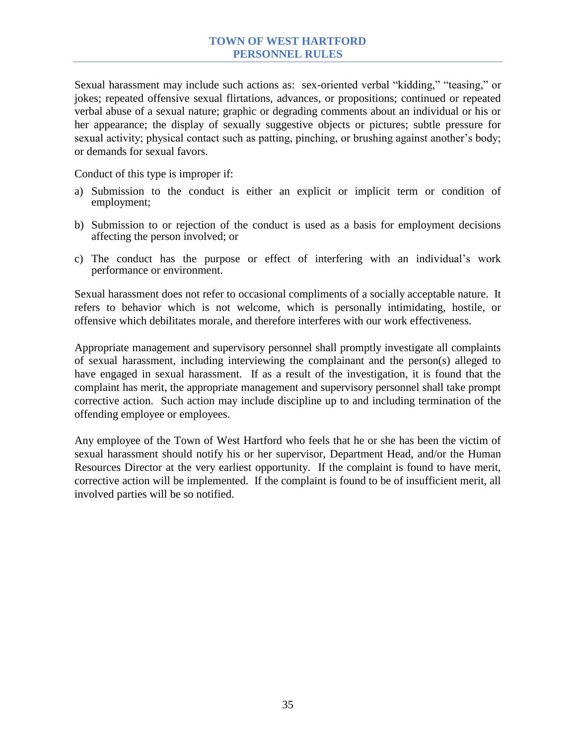Sexual harassment may include such actions as: sex-oriented verbal "kidding," "teasing," or jokes; repeated offensive sexual flirtations, advances, or propositions; continued or repeated verbal abuse of a sexual nature; graphic or degrading comments about an individual or his or her appearance; the display of sexually suggestive objects or pictures; subtle pressure for sexual activity; physical contact such as patting, pinching, or brushing against another's body; or demands for sexual favors.

Conduct of this type is improper if:

- a) Submission to the conduct is either an explicit or implicit term or condition of employment;
- b) Submission to or rejection of the conduct is used as a basis for employment decisions affecting the person involved; or
- c) The conduct has the purpose or effect of interfering with an individual's work performance or environment.

Sexual harassment does not refer to occasional compliments of a socially acceptable nature. It refers to behavior which is not welcome, which is personally intimidating, hostile, or offensive which debilitates morale, and therefore interferes with our work effectiveness.

Appropriate management and supervisory personnel shall promptly investigate all complaints of sexual harassment, including interviewing the complainant and the person(s) alleged to have engaged in sexual harassment. If as a result of the investigation, it is found that the complaint has merit, the appropriate management and supervisory personnel shall take prompt corrective action. Such action may include discipline up to and including termination of the offending employee or employees.

Any employee of the Town of West Hartford who feels that he or she has been the victim of sexual harassment should notify his or her supervisor, Department Head, and/or the Human Resources Director at the very earliest opportunity. If the complaint is found to have merit, corrective action will be implemented. If the complaint is found to be of insufficient merit, all involved parties will be so notified.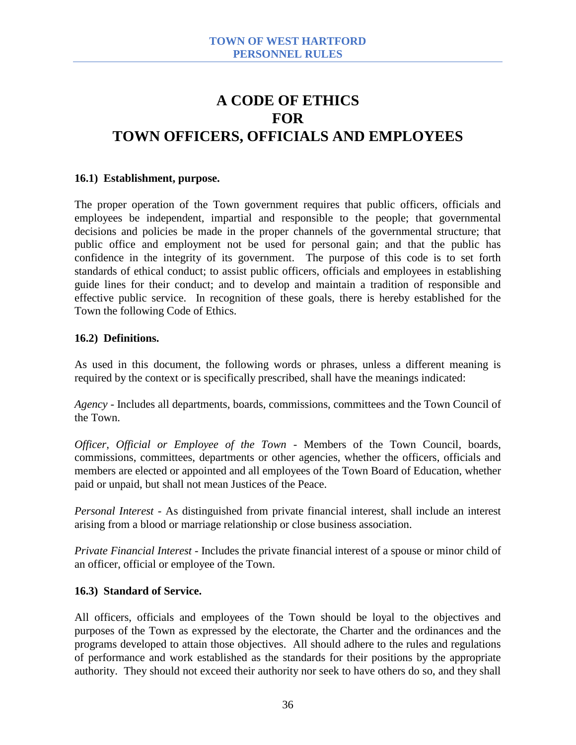# **A CODE OF ETHICS FOR TOWN OFFICERS, OFFICIALS AND EMPLOYEES**

#### **16.1) Establishment, purpose.**

The proper operation of the Town government requires that public officers, officials and employees be independent, impartial and responsible to the people; that governmental decisions and policies be made in the proper channels of the governmental structure; that public office and employment not be used for personal gain; and that the public has confidence in the integrity of its government. The purpose of this code is to set forth standards of ethical conduct; to assist public officers, officials and employees in establishing guide lines for their conduct; and to develop and maintain a tradition of responsible and effective public service. In recognition of these goals, there is hereby established for the Town the following Code of Ethics.

#### **16.2) Definitions.**

As used in this document, the following words or phrases, unless a different meaning is required by the context or is specifically prescribed, shall have the meanings indicated:

*Agency* - Includes all departments, boards, commissions, committees and the Town Council of the Town.

*Officer, Official or Employee of the Town* - Members of the Town Council, boards, commissions, committees, departments or other agencies, whether the officers, officials and members are elected or appointed and all employees of the Town Board of Education, whether paid or unpaid, but shall not mean Justices of the Peace.

*Personal Interest* - As distinguished from private financial interest, shall include an interest arising from a blood or marriage relationship or close business association.

*Private Financial Interest* - Includes the private financial interest of a spouse or minor child of an officer, official or employee of the Town.

#### **16.3) Standard of Service.**

All officers, officials and employees of the Town should be loyal to the objectives and purposes of the Town as expressed by the electorate, the Charter and the ordinances and the programs developed to attain those objectives. All should adhere to the rules and regulations of performance and work established as the standards for their positions by the appropriate authority. They should not exceed their authority nor seek to have others do so, and they shall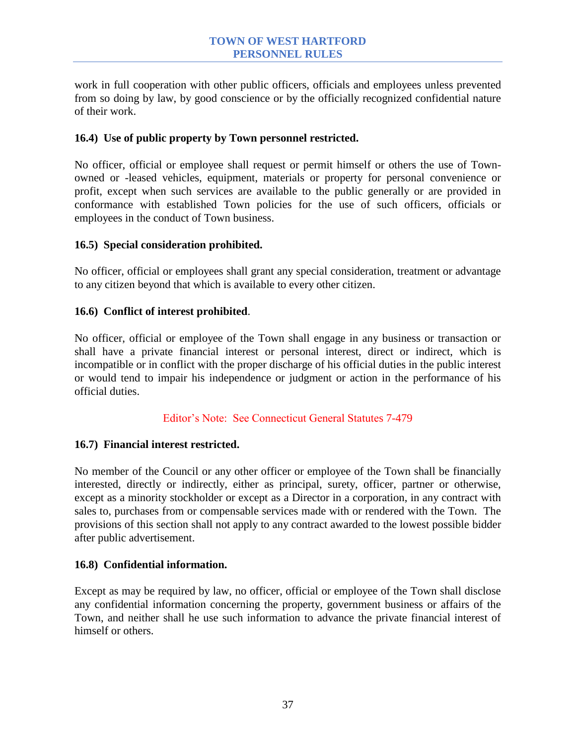work in full cooperation with other public officers, officials and employees unless prevented from so doing by law, by good conscience or by the officially recognized confidential nature of their work.

#### **16.4) Use of public property by Town personnel restricted.**

No officer, official or employee shall request or permit himself or others the use of Townowned or -leased vehicles, equipment, materials or property for personal convenience or profit, except when such services are available to the public generally or are provided in conformance with established Town policies for the use of such officers, officials or employees in the conduct of Town business.

#### **16.5) Special consideration prohibited.**

No officer, official or employees shall grant any special consideration, treatment or advantage to any citizen beyond that which is available to every other citizen.

#### **16.6) Conflict of interest prohibited**.

No officer, official or employee of the Town shall engage in any business or transaction or shall have a private financial interest or personal interest, direct or indirect, which is incompatible or in conflict with the proper discharge of his official duties in the public interest or would tend to impair his independence or judgment or action in the performance of his official duties.

#### Editor's Note: See Connecticut General Statutes 7-479

# **16.7) Financial interest restricted.**

No member of the Council or any other officer or employee of the Town shall be financially interested, directly or indirectly, either as principal, surety, officer, partner or otherwise, except as a minority stockholder or except as a Director in a corporation, in any contract with sales to, purchases from or compensable services made with or rendered with the Town. The provisions of this section shall not apply to any contract awarded to the lowest possible bidder after public advertisement.

#### **16.8) Confidential information.**

Except as may be required by law, no officer, official or employee of the Town shall disclose any confidential information concerning the property, government business or affairs of the Town, and neither shall he use such information to advance the private financial interest of himself or others.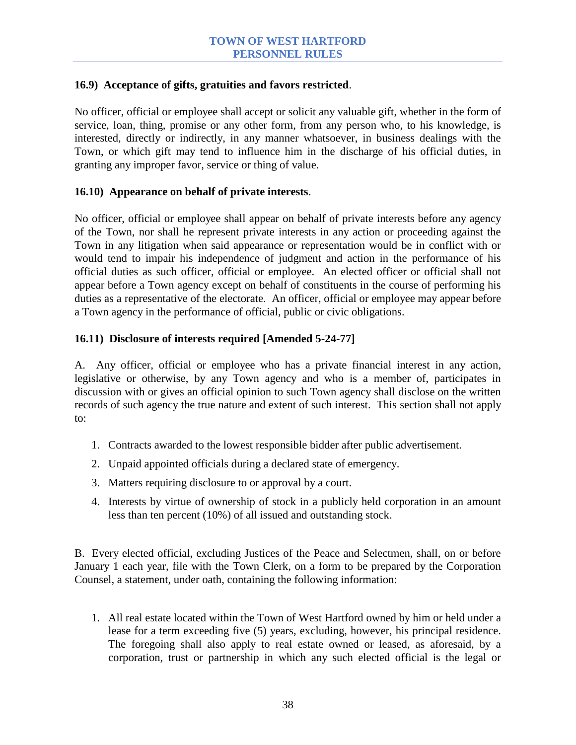# **16.9) Acceptance of gifts, gratuities and favors restricted**.

No officer, official or employee shall accept or solicit any valuable gift, whether in the form of service, loan, thing, promise or any other form, from any person who, to his knowledge, is interested, directly or indirectly, in any manner whatsoever, in business dealings with the Town, or which gift may tend to influence him in the discharge of his official duties, in granting any improper favor, service or thing of value.

#### **16.10) Appearance on behalf of private interests**.

No officer, official or employee shall appear on behalf of private interests before any agency of the Town, nor shall he represent private interests in any action or proceeding against the Town in any litigation when said appearance or representation would be in conflict with or would tend to impair his independence of judgment and action in the performance of his official duties as such officer, official or employee. An elected officer or official shall not appear before a Town agency except on behalf of constituents in the course of performing his duties as a representative of the electorate. An officer, official or employee may appear before a Town agency in the performance of official, public or civic obligations.

# **16.11) Disclosure of interests required [Amended 5-24-77]**

A. Any officer, official or employee who has a private financial interest in any action, legislative or otherwise, by any Town agency and who is a member of, participates in discussion with or gives an official opinion to such Town agency shall disclose on the written records of such agency the true nature and extent of such interest. This section shall not apply to:

- 1. Contracts awarded to the lowest responsible bidder after public advertisement.
- 2. Unpaid appointed officials during a declared state of emergency.
- 3. Matters requiring disclosure to or approval by a court.
- 4. Interests by virtue of ownership of stock in a publicly held corporation in an amount less than ten percent (10%) of all issued and outstanding stock.

B. Every elected official, excluding Justices of the Peace and Selectmen, shall, on or before January 1 each year, file with the Town Clerk, on a form to be prepared by the Corporation Counsel, a statement, under oath, containing the following information:

1. All real estate located within the Town of West Hartford owned by him or held under a lease for a term exceeding five (5) years, excluding, however, his principal residence. The foregoing shall also apply to real estate owned or leased, as aforesaid, by a corporation, trust or partnership in which any such elected official is the legal or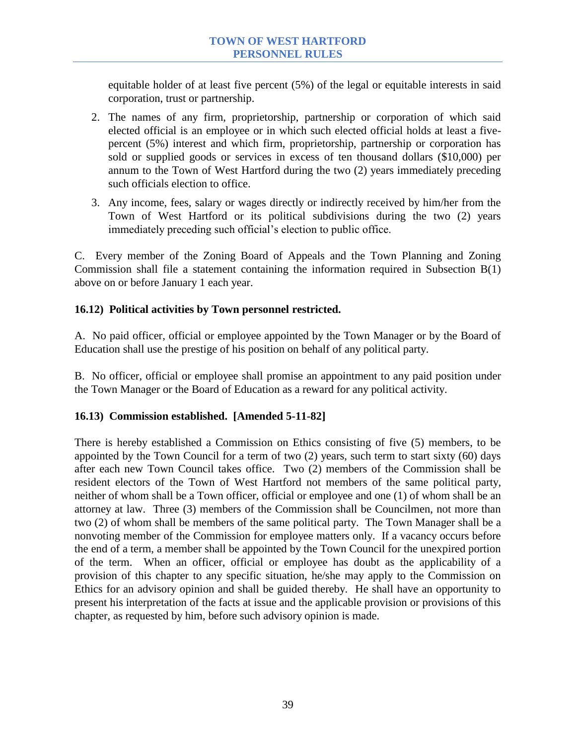equitable holder of at least five percent (5%) of the legal or equitable interests in said corporation, trust or partnership.

- 2. The names of any firm, proprietorship, partnership or corporation of which said elected official is an employee or in which such elected official holds at least a fivepercent (5%) interest and which firm, proprietorship, partnership or corporation has sold or supplied goods or services in excess of ten thousand dollars (\$10,000) per annum to the Town of West Hartford during the two (2) years immediately preceding such officials election to office.
- 3. Any income, fees, salary or wages directly or indirectly received by him/her from the Town of West Hartford or its political subdivisions during the two (2) years immediately preceding such official's election to public office.

C. Every member of the Zoning Board of Appeals and the Town Planning and Zoning Commission shall file a statement containing the information required in Subsection B(1) above on or before January 1 each year.

# **16.12) Political activities by Town personnel restricted.**

A. No paid officer, official or employee appointed by the Town Manager or by the Board of Education shall use the prestige of his position on behalf of any political party.

B. No officer, official or employee shall promise an appointment to any paid position under the Town Manager or the Board of Education as a reward for any political activity.

# **16.13) Commission established. [Amended 5-11-82]**

There is hereby established a Commission on Ethics consisting of five (5) members, to be appointed by the Town Council for a term of two (2) years, such term to start sixty (60) days after each new Town Council takes office. Two (2) members of the Commission shall be resident electors of the Town of West Hartford not members of the same political party, neither of whom shall be a Town officer, official or employee and one (1) of whom shall be an attorney at law. Three (3) members of the Commission shall be Councilmen, not more than two (2) of whom shall be members of the same political party. The Town Manager shall be a nonvoting member of the Commission for employee matters only. If a vacancy occurs before the end of a term, a member shall be appointed by the Town Council for the unexpired portion of the term. When an officer, official or employee has doubt as the applicability of a provision of this chapter to any specific situation, he/she may apply to the Commission on Ethics for an advisory opinion and shall be guided thereby. He shall have an opportunity to present his interpretation of the facts at issue and the applicable provision or provisions of this chapter, as requested by him, before such advisory opinion is made.